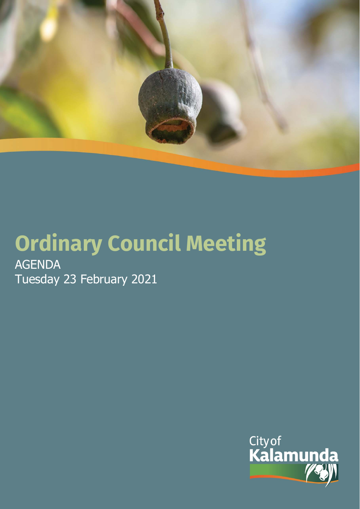

# **Ordinary Council Meeting AGENDA** Tuesday 23 February 2021

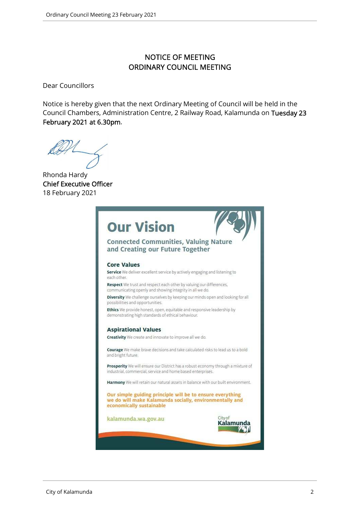## NOTICE OF MEETING ORDINARY COUNCIL MEETING

Dear Councillors

Notice is hereby given that the next Ordinary Meeting of Council will be held in the Council Chambers, Administration Centre, 2 Railway Road, Kalamunda on Tuesday 23 February 2021 at 6.30pm.

Rhonda Hardy Chief Executive Officer 18 February 2021

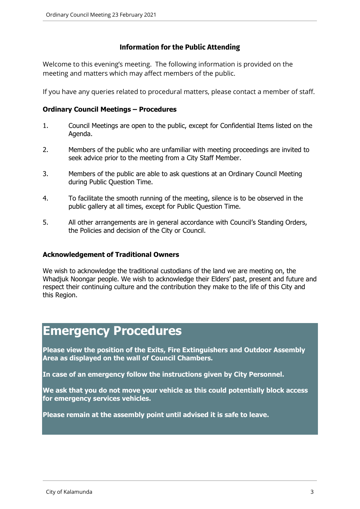## **Information for the Public Attending**

Welcome to this evening's meeting. The following information is provided on the meeting and matters which may affect members of the public.

If you have any queries related to procedural matters, please contact a member of staff.

## **Ordinary Council Meetings – Procedures**

- 1. Council Meetings are open to the public, except for Confidential Items listed on the Agenda.
- 2. Members of the public who are unfamiliar with meeting proceedings are invited to seek advice prior to the meeting from a City Staff Member.
- 3. Members of the public are able to ask questions at an Ordinary Council Meeting during Public Question Time.
- 4. To facilitate the smooth running of the meeting, silence is to be observed in the public gallery at all times, except for Public Question Time.
- 5. All other arrangements are in general accordance with Council's Standing Orders, the Policies and decision of the City or Council.

## **Acknowledgement of Traditional Owners**

We wish to acknowledge the traditional custodians of the land we are meeting on, the Whadjuk Noongar people. We wish to acknowledge their Elders' past, present and future and respect their continuing culture and the contribution they make to the life of this City and this Region.

# **Emergency Procedures**

**Please view the position of the Exits, Fire Extinguishers and Outdoor Assembly Area as displayed on the wall of Council Chambers.** 

**In case of an emergency follow the instructions given by City Personnel.** 

**We ask that you do not move your vehicle as this could potentially block access for emergency services vehicles.** 

**Please remain at the assembly point until advised it is safe to leave.**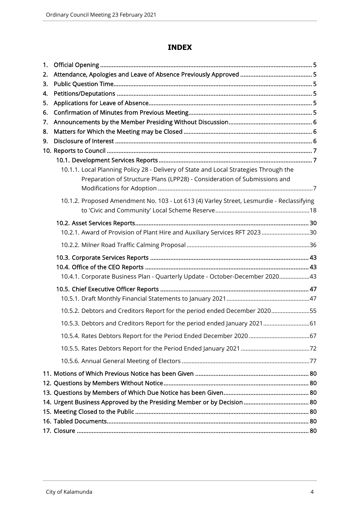## **INDEX**

| 1. |                                                                                           |  |
|----|-------------------------------------------------------------------------------------------|--|
| 2. |                                                                                           |  |
| 3. |                                                                                           |  |
| 4. |                                                                                           |  |
| 5. |                                                                                           |  |
| 6. |                                                                                           |  |
| 7. |                                                                                           |  |
| 8. |                                                                                           |  |
| 9. |                                                                                           |  |
|    |                                                                                           |  |
|    |                                                                                           |  |
|    | 10.1.1. Local Planning Policy 28 - Delivery of State and Local Strategies Through the     |  |
|    | Preparation of Structure Plans (LPP28) - Consideration of Submissions and                 |  |
|    |                                                                                           |  |
|    | 10.1.2. Proposed Amendment No. 103 - Lot 613 (4) Varley Street, Lesmurdie - Reclassifying |  |
|    |                                                                                           |  |
|    |                                                                                           |  |
|    | 10.2.1. Award of Provision of Plant Hire and Auxiliary Services RFT 2023 30               |  |
|    |                                                                                           |  |
|    |                                                                                           |  |
|    |                                                                                           |  |
|    | 10.4.1. Corporate Business Plan - Quarterly Update - October-December 202043              |  |
|    |                                                                                           |  |
|    |                                                                                           |  |
|    | 10.5.2. Debtors and Creditors Report for the period ended December 202055                 |  |
|    | 10.5.3. Debtors and Creditors Report for the period ended January 2021 61                 |  |
|    |                                                                                           |  |
|    |                                                                                           |  |
|    |                                                                                           |  |
|    |                                                                                           |  |
|    |                                                                                           |  |
|    |                                                                                           |  |
|    |                                                                                           |  |
|    |                                                                                           |  |
|    |                                                                                           |  |
|    |                                                                                           |  |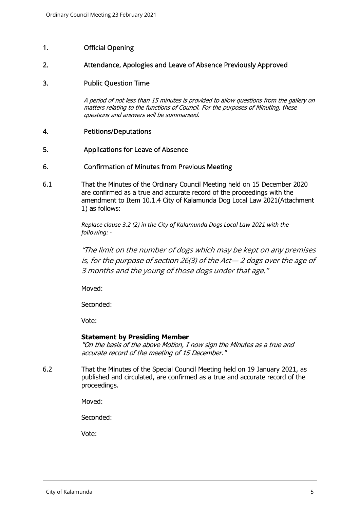## 1. Official Opening

#### 2. Attendance, Apologies and Leave of Absence Previously Approved

## 3. Public Question Time

A period of not less than 15 minutes is provided to allow questions from the gallery on matters relating to the functions of Council. For the purposes of Minuting, these questions and answers will be summarised.

#### 4. Petitions/Deputations

#### 5. Applications for Leave of Absence

## 6. Confirmation of Minutes from Previous Meeting

6.1 That the Minutes of the Ordinary Council Meeting held on 15 December 2020 are confirmed as a true and accurate record of the proceedings with the amendment to Item 10.1.4 City of Kalamunda Dog Local Law 2021(Attachment 1) as follows:

> *Replace clause 3.2 (2) in the City of Kalamunda Dogs Local Law 2021 with the following: -*

"The limit on the number of dogs which may be kept on any premises is, for the purpose of section 26(3) of the Act— 2 dogs over the age of 3 months and the young of those dogs under that age."

Moved:

Seconded:

Vote:

#### **Statement by Presiding Member**

"On the basis of the above Motion, I now sign the Minutes as a true and accurate record of the meeting of 15 December."

6.2 That the Minutes of the Special Council Meeting held on 19 January 2021, as published and circulated, are confirmed as a true and accurate record of the proceedings.

Moved:

Seconded:

Vote: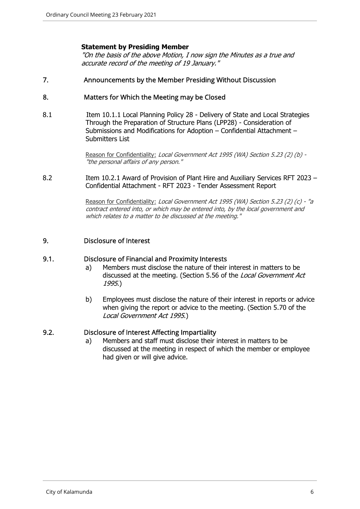## **Statement by Presiding Member**

"On the basis of the above Motion, I now sign the Minutes as a true and accurate record of the meeting of 19 January."

#### 7. Announcements by the Member Presiding Without Discussion

## 8. Matters for Which the Meeting may be Closed

8.1 Item 10.1.1 Local Planning Policy 28 - Delivery of State and Local Strategies Through the Preparation of Structure Plans (LPP28) - Consideration of Submissions and Modifications for Adoption – Confidential Attachment – Submitters List

> Reason for Confidentiality: Local Government Act 1995 (WA) Section 5.23 (2) (b) -"the personal affairs of any person."

8.2 Item 10.2.1 Award of Provision of Plant Hire and Auxiliary Services RFT 2023 -Confidential Attachment - RFT 2023 - Tender Assessment Report

> Reason for Confidentiality: Local Government Act 1995 (WA) Section 5.23 (2) (c) - "a contract entered into, or which may be entered into, by the local government and which relates to a matter to be discussed at the meeting."

#### 9. Disclosure of Interest

#### 9.1. Disclosure of Financial and Proximity Interests

- a) Members must disclose the nature of their interest in matters to be discussed at the meeting. (Section 5.56 of the Local Government Act 1995.)
- b) Employees must disclose the nature of their interest in reports or advice when giving the report or advice to the meeting. (Section 5.70 of the Local Government Act 1995.)

## 9.2. Disclosure of Interest Affecting Impartiality

a) Members and staff must disclose their interest in matters to be discussed at the meeting in respect of which the member or employee had given or will give advice.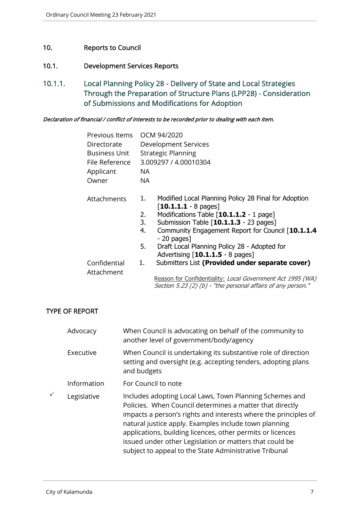## 10. Reports to Council

## 10.1. Development Services Reports

10.1.1. Local Planning Policy 28 - Delivery of State and Local Strategies Through the Preparation of Structure Plans (LPP28) - Consideration of Submissions and Modifications for Adoption

#### Declaration of financial / conflict of interests to be recorded prior to dealing with each item.

| Previous Items       | OCM 94/2020                                                                                                                |
|----------------------|----------------------------------------------------------------------------------------------------------------------------|
| Directorate          | Development Services                                                                                                       |
| <b>Business Unit</b> | <b>Strategic Planning</b>                                                                                                  |
| File Reference       | 3.009297 / 4.00010304                                                                                                      |
| Applicant            | NA                                                                                                                         |
| Owner                | NA.                                                                                                                        |
| <b>Attachments</b>   | Modified Local Planning Policy 28 Final for Adoption<br>1.<br>$\lceil 10.1.1.1 - 8 \text{ pages} \rceil$                   |
|                      | Modifications Table [10.1.1.2 - 1 page]<br>2.                                                                              |
|                      | Submission Table [10.1.1.3 - 23 pages]<br>3.                                                                               |
|                      | Community Engagement Report for Council [10.1.1.4]<br>4.<br>$-20$ pages]                                                   |
|                      | 5.<br>Draft Local Planning Policy 28 - Adopted for<br>Advertising $[10.1.1.5 - 8$ pages]                                   |
| Confidential         | Submitters List (Provided under separate cover)<br>1.                                                                      |
| Attachment           |                                                                                                                            |
|                      | Reason for Confidentiality: Local Government Act 1995 (WA)<br>Section 5.23 (2) (b) - "the personal affairs of any person." |

## TYPE OF REPORT

| Advocacy    | When Council is advocating on behalf of the community to<br>another level of government/body/agency                                                                                                                                                                                                                                                                                                                                |
|-------------|------------------------------------------------------------------------------------------------------------------------------------------------------------------------------------------------------------------------------------------------------------------------------------------------------------------------------------------------------------------------------------------------------------------------------------|
| Executive   | When Council is undertaking its substantive role of direction<br>setting and oversight (e.g. accepting tenders, adopting plans<br>and budgets                                                                                                                                                                                                                                                                                      |
| Information | For Council to note                                                                                                                                                                                                                                                                                                                                                                                                                |
| Legislative | Includes adopting Local Laws, Town Planning Schemes and<br>Policies. When Council determines a matter that directly<br>impacts a person's rights and interests where the principles of<br>natural justice apply. Examples include town planning<br>applications, building licences, other permits or licences<br>issued under other Legislation or matters that could be<br>subject to appeal to the State Administrative Tribunal |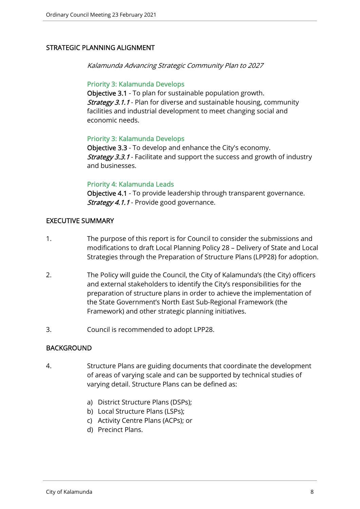## STRATEGIC PLANNING ALIGNMENT

Kalamunda Advancing Strategic Community Plan to 2027

#### Priority 3: Kalamunda Develops

Objective 3.1 - To plan for sustainable population growth. Strategy 3.1.1 - Plan for diverse and sustainable housing, community facilities and industrial development to meet changing social and economic needs.

## Priority 3: Kalamunda Develops

Objective 3.3 - To develop and enhance the City's economy. **Strategy 3.3.1** - Facilitate and support the success and growth of industry and businesses.

## Priority 4: Kalamunda Leads

Objective 4.1 - To provide leadership through transparent governance. Strategy 4.1.1 - Provide good governance.

## EXECUTIVE SUMMARY

- 1. The purpose of this report is for Council to consider the submissions and modifications to draft Local Planning Policy 28 – Delivery of State and Local Strategies through the Preparation of Structure Plans (LPP28) for adoption.
- 2. The Policy will guide the Council, the City of Kalamunda's (the City) officers and external stakeholders to identify the City's responsibilities for the preparation of structure plans in order to achieve the implementation of the State Government's North East Sub-Regional Framework (the Framework) and other strategic planning initiatives.
- 3. Council is recommended to adopt LPP28.

## BACKGROUND

- 4. Structure Plans are guiding documents that coordinate the development of areas of varying scale and can be supported by technical studies of varying detail. Structure Plans can be defined as:
	- a) District Structure Plans (DSPs);
	- b) Local Structure Plans (LSPs);
	- c) Activity Centre Plans (ACPs); or
	- d) Precinct Plans.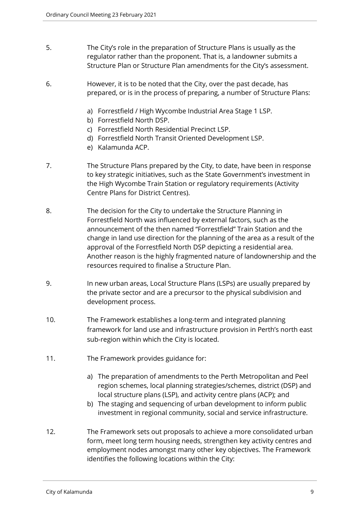- 5. The City's role in the preparation of Structure Plans is usually as the regulator rather than the proponent. That is, a landowner submits a Structure Plan or Structure Plan amendments for the City's assessment.
- 6. However, it is to be noted that the City, over the past decade, has prepared, or is in the process of preparing, a number of Structure Plans:
	- a) Forrestfield / High Wycombe Industrial Area Stage 1 LSP.
	- b) Forrestfield North DSP.
	- c) Forrestfield North Residential Precinct LSP.
	- d) Forrestfield North Transit Oriented Development LSP.
	- e) Kalamunda ACP.
- 7. The Structure Plans prepared by the City, to date, have been in response to key strategic initiatives, such as the State Government's investment in the High Wycombe Train Station or regulatory requirements (Activity Centre Plans for District Centres).
- 8. The decision for the City to undertake the Structure Planning in Forrestfield North was influenced by external factors, such as the announcement of the then named "Forrestfield" Train Station and the change in land use direction for the planning of the area as a result of the approval of the Forrestfield North DSP depicting a residential area. Another reason is the highly fragmented nature of landownership and the resources required to finalise a Structure Plan.
- 9. In new urban areas, Local Structure Plans (LSPs) are usually prepared by the private sector and are a precursor to the physical subdivision and development process.
- 10. The Framework establishes a long-term and integrated planning framework for land use and infrastructure provision in Perth's north east sub-region within which the City is located.
- 11. The Framework provides guidance for:
	- a) The preparation of amendments to the Perth Metropolitan and Peel region schemes, local planning strategies/schemes, district (DSP) and local structure plans (LSP), and activity centre plans (ACP); and
	- b) The staging and sequencing of urban development to inform public investment in regional community, social and service infrastructure.
- 12. The Framework sets out proposals to achieve a more consolidated urban form, meet long term housing needs, strengthen key activity centres and employment nodes amongst many other key objectives. The Framework identifies the following locations within the City: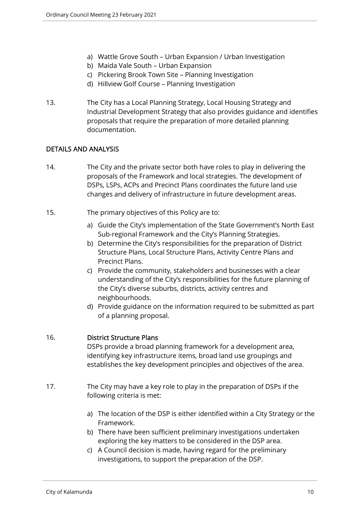- a) Wattle Grove South Urban Expansion / Urban Investigation
- b) Maida Vale South Urban Expansion
- c) Pickering Brook Town Site Planning Investigation
- d) Hillview Golf Course Planning Investigation
- 13. The City has a Local Planning Strategy, Local Housing Strategy and Industrial Development Strategy that also provides guidance and identifies proposals that require the preparation of more detailed planning documentation.

## DETAILS AND ANALYSIS

- 14. The City and the private sector both have roles to play in delivering the proposals of the Framework and local strategies. The development of DSPs, LSPs, ACPs and Precinct Plans coordinates the future land use changes and delivery of infrastructure in future development areas.
- 15. The primary objectives of this Policy are to:
	- a) Guide the City's implementation of the State Government's North East Sub-regional Framework and the City's Planning Strategies.
	- b) Determine the City's responsibilities for the preparation of District Structure Plans, Local Structure Plans, Activity Centre Plans and Precinct Plans.
	- c) Provide the community, stakeholders and businesses with a clear understanding of the City's responsibilities for the future planning of the City's diverse suburbs, districts, activity centres and neighbourhoods.
	- d) Provide guidance on the information required to be submitted as part of a planning proposal.

## 16. District Structure Plans

DSPs provide a broad planning framework for a development area, identifying key infrastructure items, broad land use groupings and establishes the key development principles and objectives of the area.

- 17. The City may have a key role to play in the preparation of DSPs if the following criteria is met:
	- a) The location of the DSP is either identified within a City Strategy or the Framework.
	- b) There have been sufficient preliminary investigations undertaken exploring the key matters to be considered in the DSP area.
	- c) A Council decision is made, having regard for the preliminary investigations, to support the preparation of the DSP.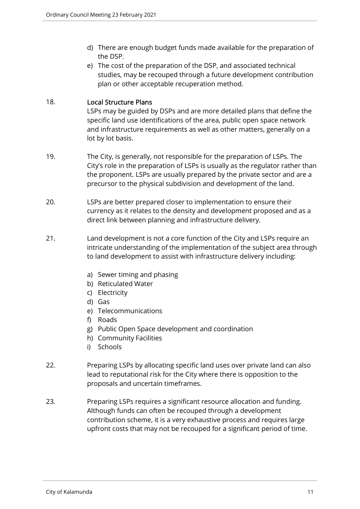- d) There are enough budget funds made available for the preparation of the DSP.
- e) The cost of the preparation of the DSP, and associated technical studies, may be recouped through a future development contribution plan or other acceptable recuperation method.

## 18. Local Structure Plans

LSPs may be guided by DSPs and are more detailed plans that define the specific land use identifications of the area, public open space network and infrastructure requirements as well as other matters, generally on a lot by lot basis.

- 19. The City, is generally, not responsible for the preparation of LSPs. The City's role in the preparation of LSPs is usually as the regulator rather than the proponent. LSPs are usually prepared by the private sector and are a precursor to the physical subdivision and development of the land.
- 20. LSPs are better prepared closer to implementation to ensure their currency as it relates to the density and development proposed and as a direct link between planning and infrastructure delivery.
- 21. Land development is not a core function of the City and LSPs require an intricate understanding of the implementation of the subject area through to land development to assist with infrastructure delivery including:
	- a) Sewer timing and phasing
	- b) Reticulated Water
	- c) Electricity
	- d) Gas
	- e) Telecommunications
	- f) Roads
	- g) Public Open Space development and coordination
	- h) Community Facilities
	- i) Schools
- 22. Preparing LSPs by allocating specific land uses over private land can also lead to reputational risk for the City where there is opposition to the proposals and uncertain timeframes.
- 23. Preparing LSPs requires a significant resource allocation and funding. Although funds can often be recouped through a development contribution scheme, it is a very exhaustive process and requires large upfront costs that may not be recouped for a significant period of time.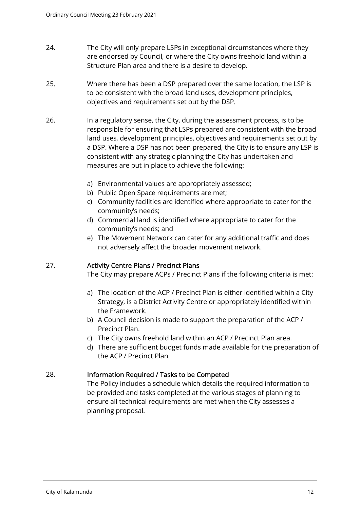- 24. The City will only prepare LSPs in exceptional circumstances where they are endorsed by Council, or where the City owns freehold land within a Structure Plan area and there is a desire to develop.
- 25. Where there has been a DSP prepared over the same location, the LSP is to be consistent with the broad land uses, development principles, objectives and requirements set out by the DSP.
- 26. In a regulatory sense, the City, during the assessment process, is to be responsible for ensuring that LSPs prepared are consistent with the broad land uses, development principles, objectives and requirements set out by a DSP. Where a DSP has not been prepared, the City is to ensure any LSP is consistent with any strategic planning the City has undertaken and measures are put in place to achieve the following:
	- a) Environmental values are appropriately assessed;
	- b) Public Open Space requirements are met;
	- c) Community facilities are identified where appropriate to cater for the community's needs;
	- d) Commercial land is identified where appropriate to cater for the community's needs; and
	- e) The Movement Network can cater for any additional traffic and does not adversely affect the broader movement network.

## 27. Activity Centre Plans / Precinct Plans

The City may prepare ACPs / Precinct Plans if the following criteria is met:

- a) The location of the ACP / Precinct Plan is either identified within a City Strategy, is a District Activity Centre or appropriately identified within the Framework.
- b) A Council decision is made to support the preparation of the ACP / Precinct Plan.
- c) The City owns freehold land within an ACP / Precinct Plan area.
- d) There are sufficient budget funds made available for the preparation of the ACP / Precinct Plan.

## 28. Information Required / Tasks to be Competed

The Policy includes a schedule which details the required information to be provided and tasks completed at the various stages of planning to ensure all technical requirements are met when the City assesses a planning proposal.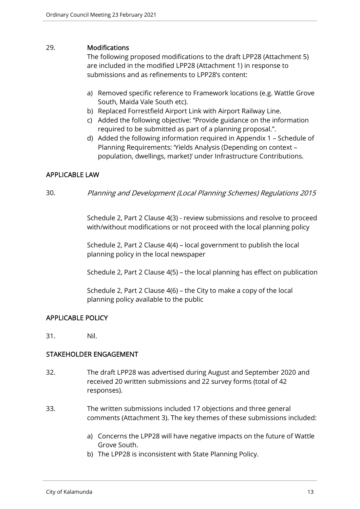## 29. Modifications

The following proposed modifications to the draft LPP28 (Attachment 5) are included in the modified LPP28 (Attachment 1) in response to submissions and as refinements to LPP28's content:

- a) Removed specific reference to Framework locations (e.g. Wattle Grove South, Maida Vale South etc).
- b) Replaced Forrestfield Airport Link with Airport Railway Line.
- c) Added the following objective: ''Provide guidance on the information required to be submitted as part of a planning proposal.".
- d) Added the following information required in Appendix 1 Schedule of Planning Requirements: 'Yields Analysis (Depending on context – population, dwellings, market)' under Infrastructure Contributions.

## APPLICABLE LAW

30. Planning and Development (Local Planning Schemes) Regulations 2015

Schedule 2, Part 2 Clause 4(3) - review submissions and resolve to proceed with/without modifications or not proceed with the local planning policy

Schedule 2, Part 2 Clause 4(4) – local government to publish the local planning policy in the local newspaper

Schedule 2, Part 2 Clause 4(5) – the local planning has effect on publication

Schedule 2, Part 2 Clause 4(6) – the City to make a copy of the local planning policy available to the public

## APPLICABLE POLICY

31. Nil.

## STAKEHOLDER ENGAGEMENT

- 32. The draft LPP28 was advertised during August and September 2020 and received 20 written submissions and 22 survey forms (total of 42 responses).
- 33. The written submissions included 17 objections and three general comments (Attachment 3). The key themes of these submissions included:
	- a) Concerns the LPP28 will have negative impacts on the future of Wattle Grove South.
	- b) The LPP28 is inconsistent with State Planning Policy.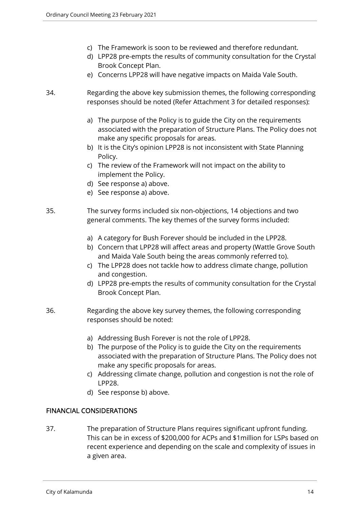- c) The Framework is soon to be reviewed and therefore redundant.
- d) LPP28 pre-empts the results of community consultation for the Crystal Brook Concept Plan.
- e) Concerns LPP28 will have negative impacts on Maida Vale South.
- 34. Regarding the above key submission themes, the following corresponding responses should be noted (Refer Attachment 3 for detailed responses):
	- a) The purpose of the Policy is to guide the City on the requirements associated with the preparation of Structure Plans. The Policy does not make any specific proposals for areas.
	- b) It is the City's opinion LPP28 is not inconsistent with State Planning Policy.
	- c) The review of the Framework will not impact on the ability to implement the Policy.
	- d) See response a) above.
	- e) See response a) above.

35. The survey forms included six non-objections, 14 objections and two general comments. The key themes of the survey forms included:

- a) A category for Bush Forever should be included in the LPP28.
- b) Concern that LPP28 will affect areas and property (Wattle Grove South and Maida Vale South being the areas commonly referred to).
- c) The LPP28 does not tackle how to address climate change, pollution and congestion.
- d) LPP28 pre-empts the results of community consultation for the Crystal Brook Concept Plan.
- 36. Regarding the above key survey themes, the following corresponding responses should be noted:
	- a) Addressing Bush Forever is not the role of LPP28.
	- b) The purpose of the Policy is to guide the City on the requirements associated with the preparation of Structure Plans. The Policy does not make any specific proposals for areas.
	- c) Addressing climate change, pollution and congestion is not the role of LPP28.
	- d) See response b) above.

## FINANCIAL CONSIDERATIONS

37. The preparation of Structure Plans requires significant upfront funding. This can be in excess of \$200,000 for ACPs and \$1million for LSPs based on recent experience and depending on the scale and complexity of issues in a given area.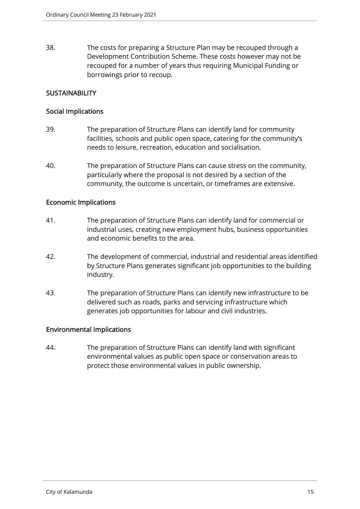38. The costs for preparing a Structure Plan may be recouped through a Development Contribution Scheme. These costs however may not be recouped for a number of years thus requiring Municipal Funding or borrowings prior to recoup.

## **SUSTAINABILITY**

## Social Implications

- 39. The preparation of Structure Plans can identify land for community facilities, schools and public open space, catering for the community's needs to leisure, recreation, education and socialisation.
- 40. The preparation of Structure Plans can cause stress on the community, particularly where the proposal is not desired by a section of the community, the outcome is uncertain, or timeframes are extensive.

## Economic Implications

- 41. The preparation of Structure Plans can identify land for commercial or industrial uses, creating new employment hubs, business opportunities and economic benefits to the area.
- 42. The development of commercial, industrial and residential areas identified by Structure Plans generates significant job opportunities to the building industry.
- 43. The preparation of Structure Plans can identify new infrastructure to be delivered such as roads, parks and servicing infrastructure which generates job opportunities for labour and civil industries.

## Environmental Implications

44. The preparation of Structure Plans can identify land with significant environmental values as public open space or conservation areas to protect those environmental values in public ownership.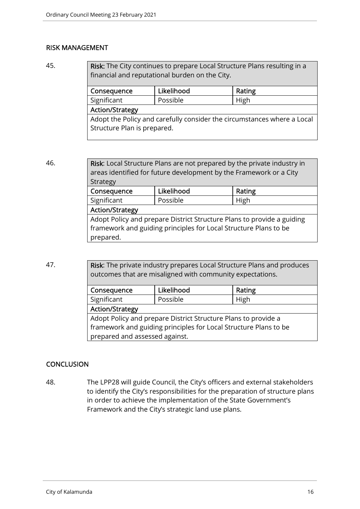## RISK MANAGEMENT

45. **Risk:** The City continues to prepare Local Structure Plans resulting in a financial and reputational burden on the City.

| Consequence                                                             | Likelihood | Rating |  |  |  |
|-------------------------------------------------------------------------|------------|--------|--|--|--|
| Significant                                                             | Possible   | High   |  |  |  |
| <b>Action/Strategy</b>                                                  |            |        |  |  |  |
| Adopt the Policy and carefully consider the circumstances where a Local |            |        |  |  |  |
| Structure Plan is prepared.                                             |            |        |  |  |  |
|                                                                         |            |        |  |  |  |

| 46.<br><b>Risk:</b> Local Structure Plans are not prepared by the private industry in<br>areas identified for future development by the Framework or a City<br>Strategy |                                                                                                                                                         |            |        |  |  |
|-------------------------------------------------------------------------------------------------------------------------------------------------------------------------|---------------------------------------------------------------------------------------------------------------------------------------------------------|------------|--------|--|--|
|                                                                                                                                                                         | Consequence                                                                                                                                             | Likelihood | Rating |  |  |
|                                                                                                                                                                         | Significant                                                                                                                                             | Possible   | High   |  |  |
|                                                                                                                                                                         | <b>Action/Strategy</b>                                                                                                                                  |            |        |  |  |
|                                                                                                                                                                         | Adopt Policy and prepare District Structure Plans to provide a guiding<br>framework and guiding principles for Local Structure Plans to be<br>prepared. |            |        |  |  |

47. **Risk:** The private industry prepares Local Structure Plans and produces outcomes that are misaligned with community expectations.

| Consequence                                                      | Likelihood | Rating |  |  |
|------------------------------------------------------------------|------------|--------|--|--|
| Significant                                                      | Possible   | High   |  |  |
| <b>Action/Strategy</b>                                           |            |        |  |  |
| Adopt Policy and prepare District Structure Plans to provide a   |            |        |  |  |
| framework and guiding principles for Local Structure Plans to be |            |        |  |  |
| prepared and assessed against.                                   |            |        |  |  |

## **CONCLUSION**

48. The LPP28 will guide Council, the City's officers and external stakeholders to identify the City's responsibilities for the preparation of structure plans in order to achieve the implementation of the State Government's Framework and the City's strategic land use plans.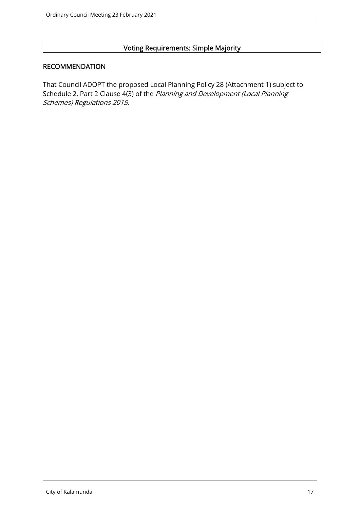## Voting Requirements: Simple Majority

## RECOMMENDATION

That Council ADOPT the proposed Local Planning Policy 28 (Attachment 1) subject to Schedule 2, Part 2 Clause 4(3) of the Planning and Development (Local Planning Schemes) Regulations 2015.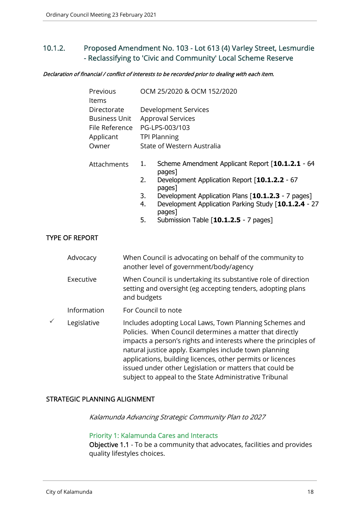## 10.1.2. Proposed Amendment No. 103 - Lot 613 (4) Varley Street, Lesmurdie - Reclassifying to 'Civic and Community' Local Scheme Reserve

#### Declaration of financial / conflict of interests to be recorded prior to dealing with each item.

|   | Previous<br>Items                                                           |                            | OCM 25/2020 & OCM 152/2020                                                                                                                                                                                                                                                                                                                                                                                                         |
|---|-----------------------------------------------------------------------------|----------------------------|------------------------------------------------------------------------------------------------------------------------------------------------------------------------------------------------------------------------------------------------------------------------------------------------------------------------------------------------------------------------------------------------------------------------------------|
|   | Directorate<br><b>Business Unit</b><br>File Reference<br>Applicant<br>Owner |                            | <b>Development Services</b><br><b>Approval Services</b><br>PG-LPS-003/103<br><b>TPI Planning</b><br>State of Western Australia                                                                                                                                                                                                                                                                                                     |
|   | Attachments                                                                 | 1.<br>2.<br>3.<br>4.<br>5. | Scheme Amendment Applicant Report [10.1.2.1 - 64<br>pages]<br>Development Application Report [10.1.2.2 - 67<br>pages]<br>Development Application Plans [10.1.2.3 - 7 pages]<br>Development Application Parking Study [10.1.2.4 - 27<br>pages]<br>Submission Table [10.1.2.5 - 7 pages]                                                                                                                                             |
|   | <b>TYPE OF REPORT</b>                                                       |                            |                                                                                                                                                                                                                                                                                                                                                                                                                                    |
|   | Advocacy                                                                    |                            | When Council is advocating on behalf of the community to<br>another level of government/body/agency                                                                                                                                                                                                                                                                                                                                |
|   | Executive                                                                   | and budgets                | When Council is undertaking its substantive role of direction<br>setting and oversight (eg accepting tenders, adopting plans                                                                                                                                                                                                                                                                                                       |
|   | Information                                                                 |                            | For Council to note                                                                                                                                                                                                                                                                                                                                                                                                                |
| ✓ | Legislative                                                                 |                            | Includes adopting Local Laws, Town Planning Schemes and<br>Policies. When Council determines a matter that directly<br>impacts a person's rights and interests where the principles of<br>natural justice apply. Examples include town planning<br>applications, building licences, other permits or licences<br>issued under other Legislation or matters that could be<br>subject to appeal to the State Administrative Tribunal |

#### STRATEGIC PLANNING ALIGNMENT

Kalamunda Advancing Strategic Community Plan to 2027

## Priority 1: Kalamunda Cares and Interacts

Objective 1.1 - To be a community that advocates, facilities and provides quality lifestyles choices.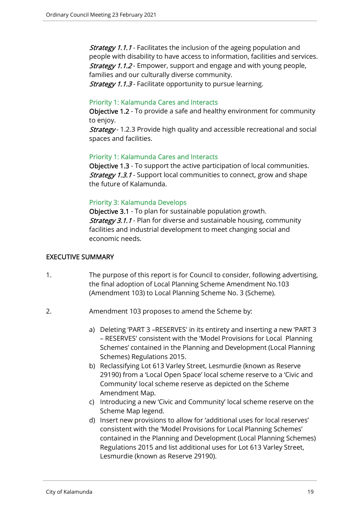**Strategy 1.1.1** - Facilitates the inclusion of the ageing population and people with disability to have access to information, facilities and services. **Strategy 1.1.2** - Empower, support and engage and with young people, families and our culturally diverse community.

**Strategy 1.1.3** - Facilitate opportunity to pursue learning.

## Priority 1: Kalamunda Cares and Interacts

Objective 1.2 - To provide a safe and healthy environment for community to enjoy.

**Strategy** - 1.2.3 Provide high quality and accessible recreational and social spaces and facilities.

## Priority 1: Kalamunda Cares and Interacts

Objective 1.3 - To support the active participation of local communities. **Strategy 1.3.1** - Support local communities to connect, grow and shape the future of Kalamunda.

## Priority 3: Kalamunda Develops

Objective 3.1 - To plan for sustainable population growth. **Strategy 3.1.1** - Plan for diverse and sustainable housing, community facilities and industrial development to meet changing social and economic needs.

## EXECUTIVE SUMMARY

- 1. The purpose of this report is for Council to consider, following advertising, the final adoption of Local Planning Scheme Amendment No.103 (Amendment 103) to Local Planning Scheme No. 3 (Scheme).
- 2. Amendment 103 proposes to amend the Scheme by:
	- a) Deleting 'PART 3 –RESERVES' in its entirety and inserting a new 'PART 3 – RESERVES' consistent with the 'Model Provisions for Local Planning Schemes' contained in the Planning and Development (Local Planning Schemes) Regulations 2015.
	- b) Reclassifying Lot 613 Varley Street, Lesmurdie (known as Reserve 29190) from a 'Local Open Space' local scheme reserve to a 'Civic and Community' local scheme reserve as depicted on the Scheme Amendment Map.
	- c) Introducing a new 'Civic and Community' local scheme reserve on the Scheme Map legend.
	- d) Insert new provisions to allow for 'additional uses for local reserves' consistent with the 'Model Provisions for Local Planning Schemes' contained in the Planning and Development (Local Planning Schemes) Regulations 2015 and list additional uses for Lot 613 Varley Street, Lesmurdie (known as Reserve 29190).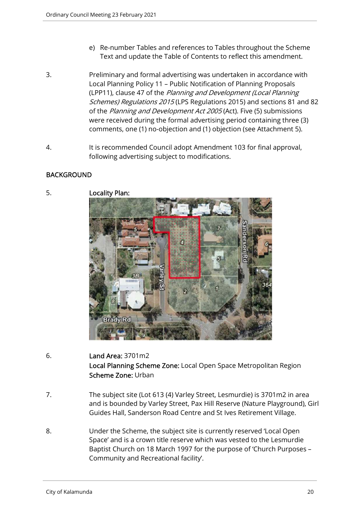- e) Re-number Tables and references to Tables throughout the Scheme Text and update the Table of Contents to reflect this amendment.
- 3. Preliminary and formal advertising was undertaken in accordance with Local Planning Policy 11 – Public Notification of Planning Proposals (LPP11), clause 47 of the Planning and Development (Local Planning Schemes) Regulations 2015 (LPS Regulations 2015) and sections 81 and 82 of the Planning and Development Act 2005 (Act). Five (5) submissions were received during the formal advertising period containing three (3) comments, one (1) no-objection and (1) objection (see Attachment 5).
- 4. It is recommended Council adopt Amendment 103 for final approval, following advertising subject to modifications.

## BACKGROUND



5. Locality Plan:

- 6. Land Area: 3701m2 Local Planning Scheme Zone: Local Open Space Metropolitan Region Scheme Zone: Urban
- 7. The subject site (Lot 613 (4) Varley Street, Lesmurdie) is 3701m2 in area and is bounded by Varley Street, Pax Hill Reserve (Nature Playground), Girl Guides Hall, Sanderson Road Centre and St Ives Retirement Village.
- 8. Under the Scheme, the subject site is currently reserved 'Local Open Space' and is a crown title reserve which was vested to the Lesmurdie Baptist Church on 18 March 1997 for the purpose of 'Church Purposes – Community and Recreational facility'.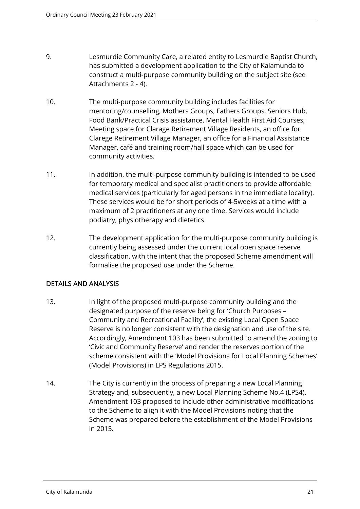- 9. Lesmurdie Community Care, a related entity to Lesmurdie Baptist Church, has submitted a development application to the City of Kalamunda to construct a multi-purpose community building on the subject site (see Attachments 2 - 4).
- 10. The multi-purpose community building includes facilities for mentoring/counselling, Mothers Groups, Fathers Groups, Seniors Hub, Food Bank/Practical Crisis assistance, Mental Health First Aid Courses, Meeting space for Clarage Retirement Village Residents, an office for Clarege Retirement Village Manager, an office for a Financial Assistance Manager, café and training room/hall space which can be used for community activities.
- 11. In addition, the multi-purpose community building is intended to be used for temporary medical and specialist practitioners to provide affordable medical services (particularly for aged persons in the immediate locality). These services would be for short periods of 4-5weeks at a time with a maximum of 2 practitioners at any one time. Services would include podiatry, physiotherapy and dietetics.
- 12. The development application for the multi-purpose community building is currently being assessed under the current local open space reserve classification, with the intent that the proposed Scheme amendment will formalise the proposed use under the Scheme.

## DETAILS AND ANALYSIS

- 13. In light of the proposed multi-purpose community building and the designated purpose of the reserve being for 'Church Purposes – Community and Recreational Facility', the existing Local Open Space Reserve is no longer consistent with the designation and use of the site. Accordingly, Amendment 103 has been submitted to amend the zoning to 'Civic and Community Reserve' and render the reserves portion of the scheme consistent with the 'Model Provisions for Local Planning Schemes' (Model Provisions) in LPS Regulations 2015.
- 14. The City is currently in the process of preparing a new Local Planning Strategy and, subsequently, a new Local Planning Scheme No.4 (LPS4). Amendment 103 proposed to include other administrative modifications to the Scheme to align it with the Model Provisions noting that the Scheme was prepared before the establishment of the Model Provisions in 2015.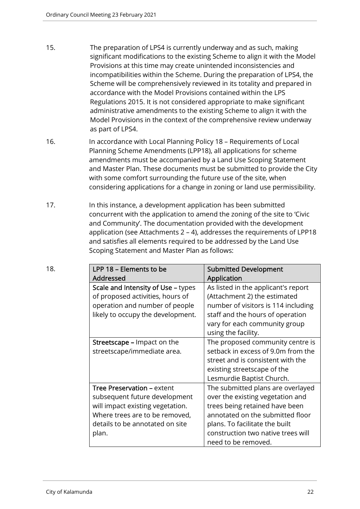- 15. The preparation of LPS4 is currently underway and as such, making significant modifications to the existing Scheme to align it with the Model Provisions at this time may create unintended inconsistencies and incompatibilities within the Scheme. During the preparation of LPS4, the Scheme will be comprehensively reviewed in its totality and prepared in accordance with the Model Provisions contained within the LPS Regulations 2015. It is not considered appropriate to make significant administrative amendments to the existing Scheme to align it with the Model Provisions in the context of the comprehensive review underway as part of LPS4.
- 16. In accordance with Local Planning Policy 18 Requirements of Local Planning Scheme Amendments (LPP18), all applications for scheme amendments must be accompanied by a Land Use Scoping Statement and Master Plan. These documents must be submitted to provide the City with some comfort surrounding the future use of the site, when considering applications for a change in zoning or land use permissibility.
- 17. In this instance, a development application has been submitted concurrent with the application to amend the zoning of the site to 'Civic and Community'. The documentation provided with the development application (see Attachments 2 – 4), addresses the requirements of LPP18 and satisfies all elements required to be addressed by the Land Use Scoping Statement and Master Plan as follows:

| 18. | LPP 18 - Elements to be<br>Addressed                               | <b>Submitted Development</b><br>Application                           |
|-----|--------------------------------------------------------------------|-----------------------------------------------------------------------|
|     | Scale and Intensity of Use - types                                 | As listed in the applicant's report                                   |
|     | of proposed activities, hours of<br>operation and number of people | (Attachment 2) the estimated<br>number of visitors is 114 including   |
|     | likely to occupy the development.                                  | staff and the hours of operation                                      |
|     |                                                                    | vary for each community group<br>using the facility.                  |
|     | <b>Streetscape – Impact on the</b>                                 | The proposed community centre is                                      |
|     | streetscape/immediate area.                                        | setback in excess of 9.0m from the                                    |
|     |                                                                    | street and is consistent with the                                     |
|     |                                                                    | existing streetscape of the                                           |
|     |                                                                    | Lesmurdie Baptist Church.                                             |
|     | Tree Preservation - extent<br>subsequent future development        | The submitted plans are overlayed<br>over the existing vegetation and |
|     | will impact existing vegetation.                                   | trees being retained have been                                        |
|     | Where trees are to be removed,                                     | annotated on the submitted floor                                      |
|     | details to be annotated on site                                    | plans. To facilitate the built                                        |
|     | plan.                                                              | construction two native trees will<br>need to be removed.             |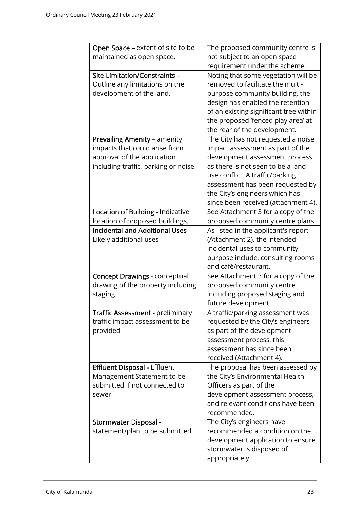| Open Space - extent of site to be       | The proposed community centre is       |
|-----------------------------------------|----------------------------------------|
| maintained as open space.               | not subject to an open space           |
|                                         | requirement under the scheme.          |
| Site Limitation/Constraints -           | Noting that some vegetation will be    |
| Outline any limitations on the          | removed to facilitate the multi-       |
| development of the land.                | purpose community building, the        |
|                                         | design has enabled the retention       |
|                                         | of an existing significant tree within |
|                                         |                                        |
|                                         | the proposed 'fenced play area' at     |
|                                         | the rear of the development.           |
| <b>Prevailing Amenity - amenity</b>     | The City has not requested a noise     |
| impacts that could arise from           | impact assessment as part of the       |
| approval of the application             | development assessment process         |
| including traffic, parking or noise.    | as there is not seen to be a land      |
|                                         | use conflict. A traffic/parking        |
|                                         | assessment has been requested by       |
|                                         | the City's engineers which has         |
|                                         | since been received (attachment 4).    |
| Location of Building - Indicative       | See Attachment 3 for a copy of the     |
| location of proposed buildings.         | proposed community centre plans        |
| <b>Incidental and Additional Uses -</b> | As listed in the applicant's report    |
| Likely additional uses                  | (Attachment 2), the intended           |
|                                         | incidental uses to community           |
|                                         | purpose include, consulting rooms      |
|                                         | and café/restaurant.                   |
| <b>Concept Drawings - conceptual</b>    | See Attachment 3 for a copy of the     |
| drawing of the property including       | proposed community centre              |
| staging                                 | including proposed staging and         |
|                                         | future development.                    |
| Traffic Assessment - preliminary        | A traffic/parking assessment was       |
| traffic impact assessment to be         | requested by the City's engineers      |
| provided                                | as part of the development             |
|                                         | assessment process, this               |
|                                         | assessment has since been              |
|                                         | received (Attachment 4).               |
| <b>Effluent Disposal - Effluent</b>     | The proposal has been assessed by      |
| Management Statement to be              | the City's Environmental Health        |
| submitted if not connected to           | Officers as part of the                |
| sewer                                   | development assessment process,        |
|                                         | and relevant conditions have been      |
|                                         | recommended.                           |
|                                         |                                        |
| <b>Stormwater Disposal -</b>            | The City's engineers have              |
| statement/plan to be submitted          | recommended a condition on the         |
|                                         | development application to ensure      |
|                                         | stormwater is disposed of              |
|                                         | appropriately.                         |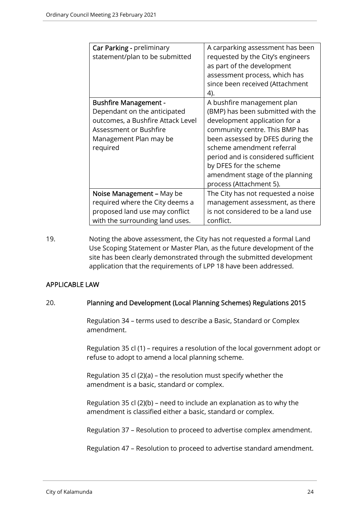| Car Parking - preliminary<br>statement/plan to be submitted                                                                                                       | A carparking assessment has been<br>requested by the City's engineers<br>as part of the development<br>assessment process, which has<br>since been received (Attachment<br>4).                                                                                                                                                     |
|-------------------------------------------------------------------------------------------------------------------------------------------------------------------|------------------------------------------------------------------------------------------------------------------------------------------------------------------------------------------------------------------------------------------------------------------------------------------------------------------------------------|
| <b>Bushfire Management -</b><br>Dependant on the anticipated<br>outcomes, a Bushfire Attack Level<br>Assessment or Bushfire<br>Management Plan may be<br>required | A bushfire management plan<br>(BMP) has been submitted with the<br>development application for a<br>community centre. This BMP has<br>been assessed by DFES during the<br>scheme amendment referral<br>period and is considered sufficient<br>by DFES for the scheme<br>amendment stage of the planning<br>process (Attachment 5). |
| Noise Management – May be<br>required where the City deems a<br>proposed land use may conflict<br>with the surrounding land uses.                                 | The City has not requested a noise<br>management assessment, as there<br>is not considered to be a land use<br>conflict.                                                                                                                                                                                                           |

19. Noting the above assessment, the City has not requested a formal Land Use Scoping Statement or Master Plan, as the future development of the site has been clearly demonstrated through the submitted development application that the requirements of LPP 18 have been addressed.

## APPLICABLE LAW

#### 20. Planning and Development (Local Planning Schemes) Regulations 2015

Regulation 34 – terms used to describe a Basic, Standard or Complex amendment.

Regulation 35 cl (1) – requires a resolution of the local government adopt or refuse to adopt to amend a local planning scheme.

Regulation 35 cl (2)(a) – the resolution must specify whether the amendment is a basic, standard or complex.

Regulation 35 cl (2)(b) – need to include an explanation as to why the amendment is classified either a basic, standard or complex.

Regulation 37 – Resolution to proceed to advertise complex amendment.

Regulation 47 – Resolution to proceed to advertise standard amendment.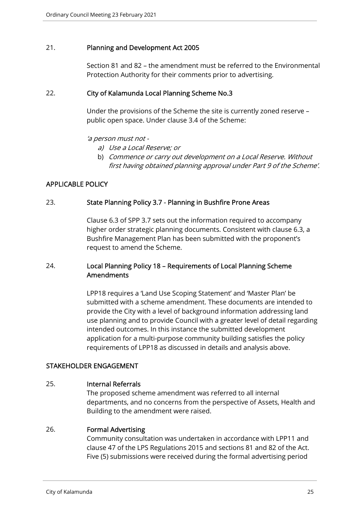## 21. Planning and Development Act 2005

Section 81 and 82 – the amendment must be referred to the Environmental Protection Authority for their comments prior to advertising.

## 22. City of Kalamunda Local Planning Scheme No.3

Under the provisions of the Scheme the site is currently zoned reserve – public open space. Under clause 3.4 of the Scheme:

#### 'a person must not -

- a) Use a Local Reserve; or
- b) Commence or carry out development on a Local Reserve. Without first having obtained planning approval under Part 9 of the Scheme'.

## APPLICABLE POLICY

## 23. State Planning Policy 3.7 - Planning in Bushfire Prone Areas

Clause 6.3 of SPP 3.7 sets out the information required to accompany higher order strategic planning documents. Consistent with clause 6.3, a Bushfire Management Plan has been submitted with the proponent's request to amend the Scheme.

## 24. Local Planning Policy 18 – Requirements of Local Planning Scheme Amendments

LPP18 requires a 'Land Use Scoping Statement' and 'Master Plan' be submitted with a scheme amendment. These documents are intended to provide the City with a level of background information addressing land use planning and to provide Council with a greater level of detail regarding intended outcomes. In this instance the submitted development application for a multi-purpose community building satisfies the policy requirements of LPP18 as discussed in details and analysis above.

#### STAKEHOLDER ENGAGEMENT

## 25. Internal Referrals

The proposed scheme amendment was referred to all internal departments, and no concerns from the perspective of Assets, Health and Building to the amendment were raised.

#### 26. Formal Advertising

Community consultation was undertaken in accordance with LPP11 and clause 47 of the LPS Regulations 2015 and sections 81 and 82 of the Act. Five (5) submissions were received during the formal advertising period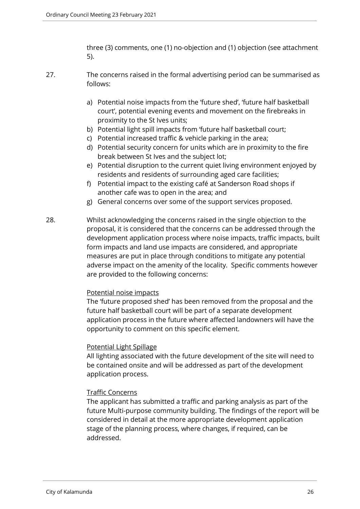three (3) comments, one (1) no-objection and (1) objection (see attachment 5).

- 27. The concerns raised in the formal advertising period can be summarised as follows:
	- a) Potential noise impacts from the 'future shed', 'future half basketball court', potential evening events and movement on the firebreaks in proximity to the St Ives units;
	- b) Potential light spill impacts from 'future half basketball court;
	- c) Potential increased traffic & vehicle parking in the area;
	- d) Potential security concern for units which are in proximity to the fire break between St Ives and the subject lot;
	- e) Potential disruption to the current quiet living environment enjoyed by residents and residents of surrounding aged care facilities;
	- f) Potential impact to the existing café at Sanderson Road shops if another cafe was to open in the area; and
	- g) General concerns over some of the support services proposed.
- 28. Whilst acknowledging the concerns raised in the single objection to the proposal, it is considered that the concerns can be addressed through the development application process where noise impacts, traffic impacts, built form impacts and land use impacts are considered, and appropriate measures are put in place through conditions to mitigate any potential adverse impact on the amenity of the locality. Specific comments however are provided to the following concerns:

#### Potential noise impacts

The 'future proposed shed' has been removed from the proposal and the future half basketball court will be part of a separate development application process in the future where affected landowners will have the opportunity to comment on this specific element.

#### Potential Light Spillage

All lighting associated with the future development of the site will need to be contained onsite and will be addressed as part of the development application process.

## Traffic Concerns

The applicant has submitted a traffic and parking analysis as part of the future Multi-purpose community building. The findings of the report will be considered in detail at the more appropriate development application stage of the planning process, where changes, if required, can be addressed.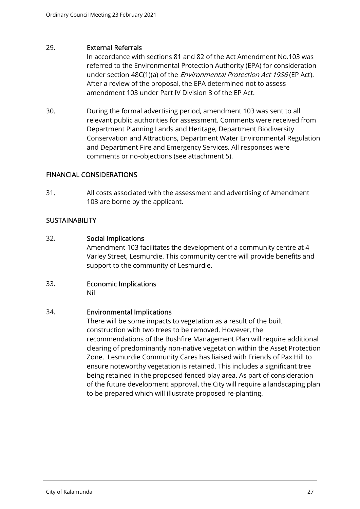## 29. External Referrals

In accordance with sections 81 and 82 of the Act Amendment No.103 was referred to the Environmental Protection Authority (EPA) for consideration under section 48C(1)(a) of the *Environmental Protection Act 1986* (EP Act). After a review of the proposal, the EPA determined not to assess amendment 103 under Part IV Division 3 of the EP Act.

30. During the formal advertising period, amendment 103 was sent to all relevant public authorities for assessment. Comments were received from Department Planning Lands and Heritage, Department Biodiversity Conservation and Attractions, Department Water Environmental Regulation and Department Fire and Emergency Services. All responses were comments or no-objections (see attachment 5).

## FINANCIAL CONSIDERATIONS

31. All costs associated with the assessment and advertising of Amendment 103 are borne by the applicant.

## **SUSTAINABILITY**

## 32. Social Implications

Amendment 103 facilitates the development of a community centre at 4 Varley Street, Lesmurdie. This community centre will provide benefits and support to the community of Lesmurdie.

# 33. Economic Implications

Nil

## 34. Environmental Implications

There will be some impacts to vegetation as a result of the built construction with two trees to be removed. However, the recommendations of the Bushfire Management Plan will require additional clearing of predominantly non-native vegetation within the Asset Protection Zone. Lesmurdie Community Cares has liaised with Friends of Pax Hill to ensure noteworthy vegetation is retained. This includes a significant tree being retained in the proposed fenced play area. As part of consideration of the future development approval, the City will require a landscaping plan to be prepared which will illustrate proposed re-planting.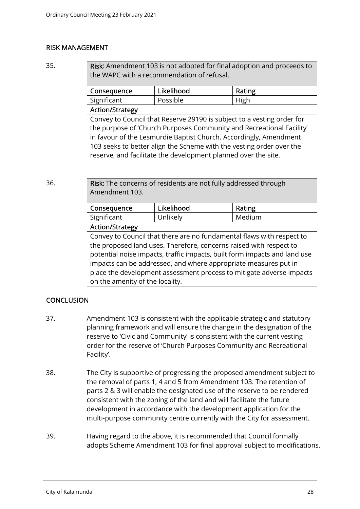## RISK MANAGEMENT

35. Risk: Amendment 103 is not adopted for final adoption and proceeds to the WAPC with a recommendation of refusal.

| Consequence                                                            | Likelihood | Rating |  |  |
|------------------------------------------------------------------------|------------|--------|--|--|
| Significant                                                            | Possible   | High   |  |  |
| <b>Action/Strategy</b>                                                 |            |        |  |  |
| Convey to Council that Reserve 29190 is subject to a vesting order for |            |        |  |  |
| the purpose of 'Church Purposes Community and Recreational Facility'   |            |        |  |  |

in favour of the Lesmurdie Baptist Church. Accordingly, Amendment 103 seeks to better align the Scheme with the vesting order over the reserve, and facilitate the development planned over the site.

36. Risk: The concerns of residents are not fully addressed through Amendment 103.

| Consequence            | Likelihood | Rating |  |
|------------------------|------------|--------|--|
| Significant            | Unlikely   | Medium |  |
| <b>Action/Strategy</b> |            |        |  |

Convey to Council that there are no fundamental flaws with respect to the proposed land uses. Therefore, concerns raised with respect to potential noise impacts, traffic impacts, built form impacts and land use impacts can be addressed, and where appropriate measures put in place the development assessment process to mitigate adverse impacts on the amenity of the locality.

## **CONCLUSION**

- 37. Amendment 103 is consistent with the applicable strategic and statutory planning framework and will ensure the change in the designation of the reserve to 'Civic and Community' is consistent with the current vesting order for the reserve of 'Church Purposes Community and Recreational Facility'.
- 38. The City is supportive of progressing the proposed amendment subject to the removal of parts 1, 4 and 5 from Amendment 103. The retention of parts 2 & 3 will enable the designated use of the reserve to be rendered consistent with the zoning of the land and will facilitate the future development in accordance with the development application for the multi-purpose community centre currently with the City for assessment.
- 39. Having regard to the above, it is recommended that Council formally adopts Scheme Amendment 103 for final approval subject to modifications.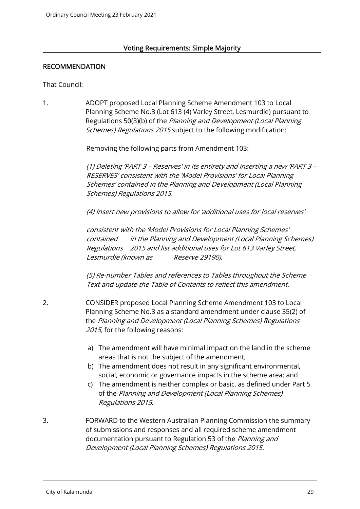## Voting Requirements: Simple Majority

## RECOMMENDATION

That Council:

1. ADOPT proposed Local Planning Scheme Amendment 103 to Local Planning Scheme No.3 (Lot 613 (4) Varley Street, Lesmurdie) pursuant to Regulations 50(3)(b) of the Planning and Development (Local Planning Schemes) Regulations 2015 subject to the following modification:

Removing the following parts from Amendment 103:

(1) Deleting 'PART 3 – Reserves' in its entirety and inserting a new 'PART 3 – RESERVES' consistent with the 'Model Provisions' for Local Planning Schemes' contained in the Planning and Development (Local Planning Schemes) Regulations 2015.

(4) Insert new provisions to allow for 'additional uses for local reserves'

consistent with the 'Model Provisions for Local Planning Schemes' contained in the Planning and Development (Local Planning Schemes) Regulations 2015 and list additional uses for Lot 613 Varley Street, Lesmurdie (known as Reserve 29190).

(5) Re-number Tables and references to Tables throughout the Scheme Text and update the Table of Contents to reflect this amendment.

- 2. CONSIDER proposed Local Planning Scheme Amendment 103 to Local Planning Scheme No.3 as a standard amendment under clause 35(2) of the Planning and Development (Local Planning Schemes) Regulations 2015, for the following reasons:
	- a) The amendment will have minimal impact on the land in the scheme areas that is not the subject of the amendment;
	- b) The amendment does not result in any significant environmental, social, economic or governance impacts in the scheme area; and
	- c) The amendment is neither complex or basic, as defined under Part 5 of the Planning and Development (Local Planning Schemes) Regulations 2015.
- 3. FORWARD to the Western Australian Planning Commission the summary of submissions and responses and all required scheme amendment documentation pursuant to Regulation 53 of the Planning and Development (Local Planning Schemes) Regulations 2015.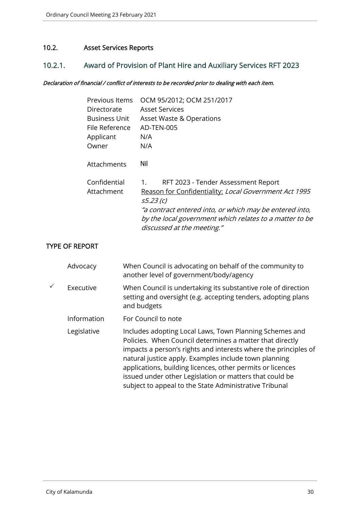## 10.2. Asset Services Reports

## 10.2.1. Award of Provision of Plant Hire and Auxiliary Services RFT 2023

## Declaration of financial / conflict of interests to be recorded prior to dealing with each item.

| Previous Items<br>Directorate<br><b>Business Unit</b><br>File Reference<br>Applicant | OCM 95/2012; OCM 251/2017<br><b>Asset Services</b><br><b>Asset Waste &amp; Operations</b><br>AD-TEN-005<br>N/A<br>N/A                                                                                                                                               |
|--------------------------------------------------------------------------------------|---------------------------------------------------------------------------------------------------------------------------------------------------------------------------------------------------------------------------------------------------------------------|
| Owner<br>Attachments                                                                 | Nil                                                                                                                                                                                                                                                                 |
| Confidential<br>Attachment                                                           | RFT 2023 - Tender Assessment Report<br>1.<br>Reason for Confidentiality: Local Government Act 1995<br>s5.23 (c)<br>"a contract entered into, or which may be entered into,<br>by the local government which relates to a matter to be<br>discussed at the meeting." |

## TYPE OF REPORT

|   | Advocacy    | When Council is advocating on behalf of the community to<br>another level of government/body/agency                                                                                                                                                                                                                                                                                                                                |
|---|-------------|------------------------------------------------------------------------------------------------------------------------------------------------------------------------------------------------------------------------------------------------------------------------------------------------------------------------------------------------------------------------------------------------------------------------------------|
| ✓ | Executive   | When Council is undertaking its substantive role of direction<br>setting and oversight (e.g. accepting tenders, adopting plans<br>and budgets                                                                                                                                                                                                                                                                                      |
|   | Information | For Council to note                                                                                                                                                                                                                                                                                                                                                                                                                |
|   | Legislative | Includes adopting Local Laws, Town Planning Schemes and<br>Policies. When Council determines a matter that directly<br>impacts a person's rights and interests where the principles of<br>natural justice apply. Examples include town planning<br>applications, building licences, other permits or licences<br>issued under other Legislation or matters that could be<br>subject to appeal to the State Administrative Tribunal |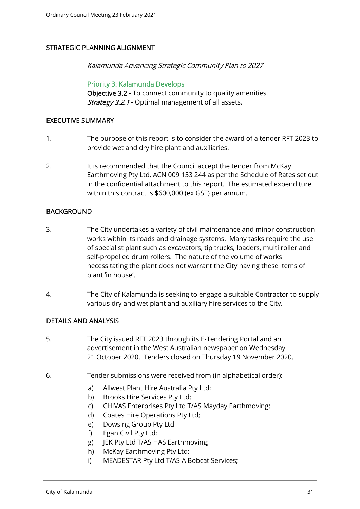## STRATEGIC PLANNING ALIGNMENT

Kalamunda Advancing Strategic Community Plan to 2027

Priority 3: Kalamunda Develops Objective 3.2 - To connect community to quality amenities. Strategy 3.2.1 - Optimal management of all assets.

## EXECUTIVE SUMMARY

- 1. The purpose of this report is to consider the award of a tender RFT 2023 to provide wet and dry hire plant and auxiliaries.
- 2. It is recommended that the Council accept the tender from McKay Earthmoving Pty Ltd, ACN 009 153 244 as per the Schedule of Rates set out in the confidential attachment to this report. The estimated expenditure within this contract is \$600,000 (ex GST) per annum.

## BACKGROUND

- 3. The City undertakes a variety of civil maintenance and minor construction works within its roads and drainage systems. Many tasks require the use of specialist plant such as excavators, tip trucks, loaders, multi roller and self-propelled drum rollers. The nature of the volume of works necessitating the plant does not warrant the City having these items of plant 'in house'.
- 4. The City of Kalamunda is seeking to engage a suitable Contractor to supply various dry and wet plant and auxiliary hire services to the City.

## DETAILS AND ANALYSIS

- 5. The City issued RFT 2023 through its E-Tendering Portal and an advertisement in the West Australian newspaper on Wednesday 21 October 2020. Tenders closed on Thursday 19 November 2020.
- 6. Tender submissions were received from (in alphabetical order):
	- a) Allwest Plant Hire Australia Pty Ltd;
	- b) Brooks Hire Services Pty Ltd;
	- c) CHIVAS Enterprises Pty Ltd T/AS Mayday Earthmoving;
	- d) Coates Hire Operations Pty Ltd;
	- e) Dowsing Group Pty Ltd
	- f) Egan Civil Pty Ltd;
	- g) JEK Pty Ltd T/AS HAS Earthmoving;
	- h) McKay Earthmoving Pty Ltd;
	- i) MEADESTAR Pty Ltd T/AS A Bobcat Services;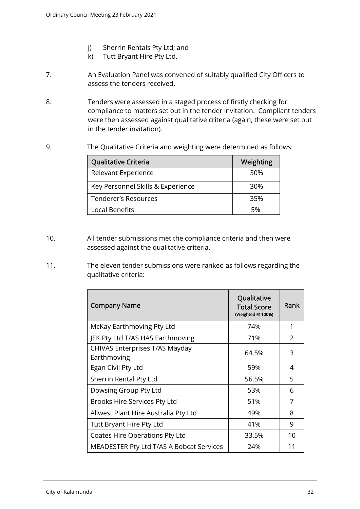- j) Sherrin Rentals Pty Ltd; and
- k) Tutt Bryant Hire Pty Ltd.
- 7. An Evaluation Panel was convened of suitably qualified City Officers to assess the tenders received.
- 8. Tenders were assessed in a staged process of firstly checking for compliance to matters set out in the tender invitation. Compliant tenders were then assessed against qualitative criteria (again, these were set out in the tender invitation).
- 9. The Qualitative Criteria and weighting were determined as follows:

| Qualitative Criteria              | Weighting |
|-----------------------------------|-----------|
| Relevant Experience               | 30%       |
| Key Personnel Skills & Experience | 30%       |
| Tenderer's Resources              | 35%       |
| <b>Local Benefits</b>             | 5%        |

- 10. All tender submissions met the compliance criteria and then were assessed against the qualitative criteria.
- 11. The eleven tender submissions were ranked as follows regarding the qualitative criteria:

| <b>Company Name</b>                           | Qualitative<br><b>Total Score</b><br>(Weighted @ 100%) | Rank           |
|-----------------------------------------------|--------------------------------------------------------|----------------|
| McKay Earthmoving Pty Ltd                     | 74%                                                    | 1              |
| JEK Pty Ltd T/AS HAS Earthmoving              | 71%                                                    | $\overline{2}$ |
| CHIVAS Enterprises T/AS Mayday<br>Earthmoving | 64.5%                                                  | 3              |
| Egan Civil Pty Ltd                            | 59%                                                    | 4              |
| Sherrin Rental Pty Ltd                        | 56.5%                                                  | 5              |
| Dowsing Group Pty Ltd                         | 53%                                                    | 6              |
| Brooks Hire Services Pty Ltd                  | 51%                                                    | 7              |
| Allwest Plant Hire Australia Pty Ltd          | 49%                                                    | 8              |
| Tutt Bryant Hire Pty Ltd                      | 41%                                                    | 9              |
| Coates Hire Operations Pty Ltd                | 33.5%                                                  | 10             |
| MEADESTER Pty Ltd T/AS A Bobcat Services      | 24%                                                    | 11             |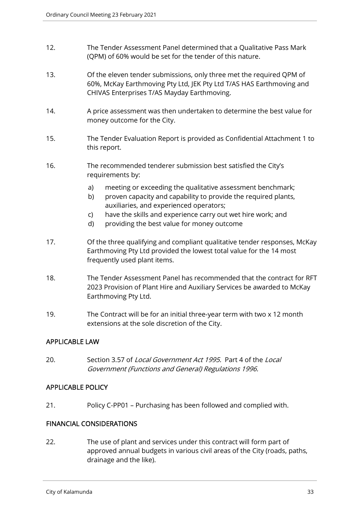- 12. The Tender Assessment Panel determined that a Qualitative Pass Mark (QPM) of 60% would be set for the tender of this nature.
- 13. Of the eleven tender submissions, only three met the required QPM of 60%, McKay Earthmoving Pty Ltd, JEK Pty Ltd T/AS HAS Earthmoving and CHIVAS Enterprises T/AS Mayday Earthmoving.
- 14. A price assessment was then undertaken to determine the best value for money outcome for the City.
- 15. The Tender Evaluation Report is provided as Confidential Attachment 1 to this report.
- 16. The recommended tenderer submission best satisfied the City's requirements by:
	- a) meeting or exceeding the qualitative assessment benchmark;
	- b) proven capacity and capability to provide the required plants, auxiliaries, and experienced operators;
	- c) have the skills and experience carry out wet hire work; and
	- d) providing the best value for money outcome
- 17. Of the three qualifying and compliant qualitative tender responses, McKay Earthmoving Pty Ltd provided the lowest total value for the 14 most frequently used plant items.
- 18. The Tender Assessment Panel has recommended that the contract for RFT 2023 Provision of Plant Hire and Auxiliary Services be awarded to McKay Earthmoving Pty Ltd.
- 19. The Contract will be for an initial three-year term with two x 12 month extensions at the sole discretion of the City.

## APPLICABLE LAW

20. Section 3.57 of Local Government Act 1995. Part 4 of the Local Government (Functions and General) Regulations 1996.

## APPLICABLE POLICY

21. Policy C-PP01 – Purchasing has been followed and complied with.

## FINANCIAL CONSIDERATIONS

22. The use of plant and services under this contract will form part of approved annual budgets in various civil areas of the City (roads, paths, drainage and the like).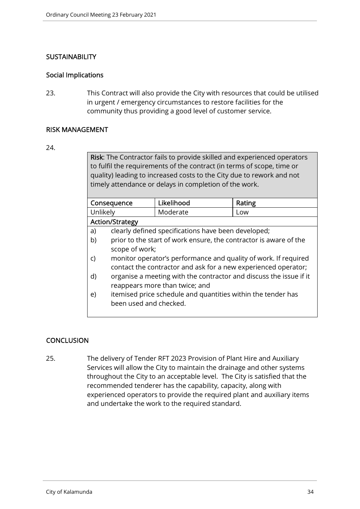## **SUSTAINABILITY**

## Social Implications

23. This Contract will also provide the City with resources that could be utilised in urgent / emergency circumstances to restore facilities for the community thus providing a good level of customer service.

## RISK MANAGEMENT

#### 24.

Risk: The Contractor fails to provide skilled and experienced operators to fulfil the requirements of the contract (in terms of scope, time or quality) leading to increased costs to the City due to rework and not timely attendance or delays in completion of the work.

| Consequence            |                        | Likelihood                                                        | Rating                                                             |
|------------------------|------------------------|-------------------------------------------------------------------|--------------------------------------------------------------------|
| Unlikely               |                        | Moderate                                                          | Low                                                                |
| <b>Action/Strategy</b> |                        |                                                                   |                                                                    |
| a)                     |                        | clearly defined specifications have been developed;               |                                                                    |
| b)                     |                        | prior to the start of work ensure, the contractor is aware of the |                                                                    |
|                        | scope of work;         |                                                                   |                                                                    |
| C)                     |                        | monitor operator's performance and quality of work. If required   |                                                                    |
|                        |                        | contact the contractor and ask for a new experienced operator;    |                                                                    |
| d)                     |                        |                                                                   | organise a meeting with the contractor and discuss the issue if it |
|                        |                        | reappears more than twice; and                                    |                                                                    |
| e)                     |                        | itemised price schedule and quantities within the tender has      |                                                                    |
|                        | been used and checked. |                                                                   |                                                                    |

## **CONCLUSION**

25. The delivery of Tender RFT 2023 Provision of Plant Hire and Auxiliary Services will allow the City to maintain the drainage and other systems throughout the City to an acceptable level. The City is satisfied that the recommended tenderer has the capability, capacity, along with experienced operators to provide the required plant and auxiliary items and undertake the work to the required standard.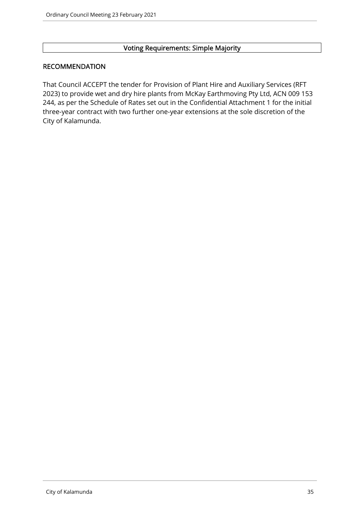## Voting Requirements: Simple Majority

## RECOMMENDATION

That Council ACCEPT the tender for Provision of Plant Hire and Auxiliary Services (RFT 2023) to provide wet and dry hire plants from McKay Earthmoving Pty Ltd, ACN 009 153 244, as per the Schedule of Rates set out in the Confidential Attachment 1 for the initial three-year contract with two further one-year extensions at the sole discretion of the City of Kalamunda.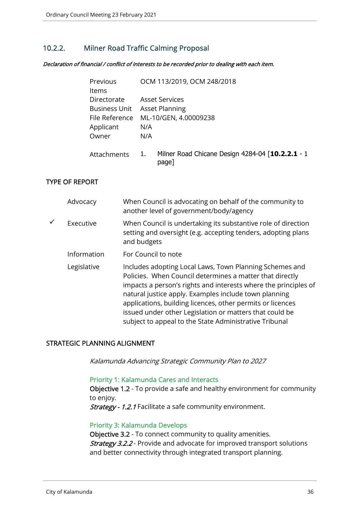## 10.2.2. Milner Road Traffic Calming Proposal

Declaration of financial / conflict of interests to be recorded prior to dealing with each item.

| Previous             | OCM 113/2019, OCM 248/2018                                      |
|----------------------|-----------------------------------------------------------------|
| <b>Items</b>         |                                                                 |
| Directorate          | <b>Asset Services</b>                                           |
| <b>Business Unit</b> | <b>Asset Planning</b>                                           |
| File Reference       | ML-10/GEN, 4.00009238                                           |
| Applicant            | N/A                                                             |
| Owner                | N/A                                                             |
| Attachments          | Milner Road Chicane Design 4284-04 [10.2.2.1 - 1<br>1.<br>page] |

## TYPE OF REPORT

| Advocacy    | When Council is advocating on behalf of the community to<br>another level of government/body/agency                                                                                                                                                                                                                                                                                                                                |
|-------------|------------------------------------------------------------------------------------------------------------------------------------------------------------------------------------------------------------------------------------------------------------------------------------------------------------------------------------------------------------------------------------------------------------------------------------|
| Executive   | When Council is undertaking its substantive role of direction<br>setting and oversight (e.g. accepting tenders, adopting plans<br>and budgets                                                                                                                                                                                                                                                                                      |
| Information | For Council to note                                                                                                                                                                                                                                                                                                                                                                                                                |
| Legislative | Includes adopting Local Laws, Town Planning Schemes and<br>Policies. When Council determines a matter that directly<br>impacts a person's rights and interests where the principles of<br>natural justice apply. Examples include town planning<br>applications, building licences, other permits or licences<br>issued under other Legislation or matters that could be<br>subject to appeal to the State Administrative Tribunal |

## STRATEGIC PLANNING ALIGNMENT

Kalamunda Advancing Strategic Community Plan to 2027

#### Priority 1: Kalamunda Cares and Interacts

Objective 1.2 - To provide a safe and healthy environment for community to enjoy.

Strategy - 1.2.1 Facilitate a safe community environment.

#### Priority 3: Kalamunda Develops

Objective 3.2 - To connect community to quality amenities. **Strategy 3.2.2** - Provide and advocate for improved transport solutions and better connectivity through integrated transport planning.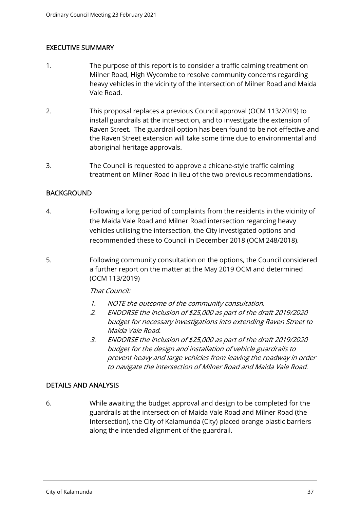## EXECUTIVE SUMMARY

- 1. The purpose of this report is to consider a traffic calming treatment on Milner Road, High Wycombe to resolve community concerns regarding heavy vehicles in the vicinity of the intersection of Milner Road and Maida Vale Road.
- 2. This proposal replaces a previous Council approval (OCM 113/2019) to install guardrails at the intersection, and to investigate the extension of Raven Street. The guardrail option has been found to be not effective and the Raven Street extension will take some time due to environmental and aboriginal heritage approvals.
- 3. The Council is requested to approve a chicane-style traffic calming treatment on Milner Road in lieu of the two previous recommendations.

## BACKGROUND

- 4. Following a long period of complaints from the residents in the vicinity of the Maida Vale Road and Milner Road intersection regarding heavy vehicles utilising the intersection, the City investigated options and recommended these to Council in December 2018 (OCM 248/2018).
- 5. Following community consultation on the options, the Council considered a further report on the matter at the May 2019 OCM and determined (OCM 113/2019)

## That Council:

- 1. NOTE the outcome of the community consultation.
- 2. ENDORSE the inclusion of \$25,000 as part of the draft 2019/2020 budget for necessary investigations into extending Raven Street to Maida Vale Road.
- 3. ENDORSE the inclusion of \$25,000 as part of the draft 2019/2020 budget for the design and installation of vehicle guardrails to prevent heavy and large vehicles from leaving the roadway in order to navigate the intersection of Milner Road and Maida Vale Road.

## DETAILS AND ANALYSIS

6. While awaiting the budget approval and design to be completed for the guardrails at the intersection of Maida Vale Road and Milner Road (the Intersection), the City of Kalamunda (City) placed orange plastic barriers along the intended alignment of the guardrail.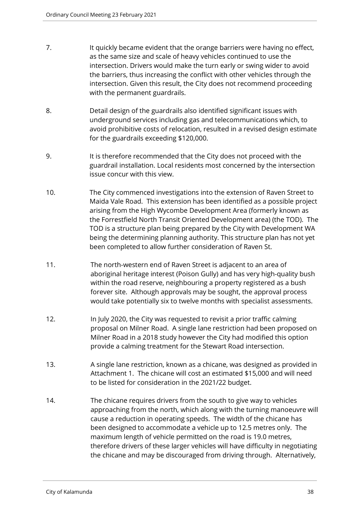- 7. It quickly became evident that the orange barriers were having no effect, as the same size and scale of heavy vehicles continued to use the intersection. Drivers would make the turn early or swing wider to avoid the barriers, thus increasing the conflict with other vehicles through the intersection. Given this result, the City does not recommend proceeding with the permanent guardrails.
- 8. Detail design of the guardrails also identified significant issues with underground services including gas and telecommunications which, to avoid prohibitive costs of relocation, resulted in a revised design estimate for the guardrails exceeding \$120,000.
- 9. It is therefore recommended that the City does not proceed with the guardrail installation. Local residents most concerned by the intersection issue concur with this view.
- 10. The City commenced investigations into the extension of Raven Street to Maida Vale Road. This extension has been identified as a possible project arising from the High Wycombe Development Area (formerly known as the Forrestfield North Transit Oriented Development area) (the TOD). The TOD is a structure plan being prepared by the City with Development WA being the determining planning authority. This structure plan has not yet been completed to allow further consideration of Raven St.
- 11. The north-western end of Raven Street is adjacent to an area of aboriginal heritage interest (Poison Gully) and has very high-quality bush within the road reserve, neighbouring a property registered as a bush forever site. Although approvals may be sought, the approval process would take potentially six to twelve months with specialist assessments.
- 12. In July 2020, the City was requested to revisit a prior traffic calming proposal on Milner Road. A single lane restriction had been proposed on Milner Road in a 2018 study however the City had modified this option provide a calming treatment for the Stewart Road intersection.
- 13. A single lane restriction, known as a chicane, was designed as provided in Attachment 1. The chicane will cost an estimated \$15,000 and will need to be listed for consideration in the 2021/22 budget.
- 14. The chicane requires drivers from the south to give way to vehicles approaching from the north, which along with the turning manoeuvre will cause a reduction in operating speeds. The width of the chicane has been designed to accommodate a vehicle up to 12.5 metres only. The maximum length of vehicle permitted on the road is 19.0 metres, therefore drivers of these larger vehicles will have difficulty in negotiating the chicane and may be discouraged from driving through. Alternatively,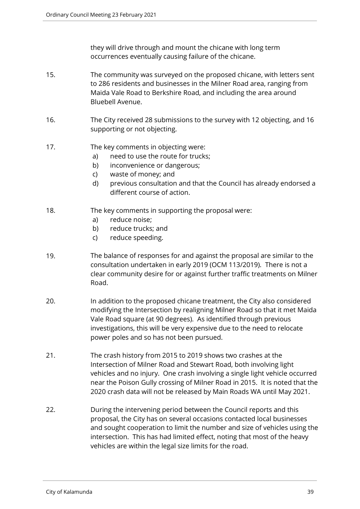they will drive through and mount the chicane with long term occurrences eventually causing failure of the chicane.

- 15. The community was surveyed on the proposed chicane, with letters sent to 286 residents and businesses in the Milner Road area, ranging from Maida Vale Road to Berkshire Road, and including the area around Bluebell Avenue.
- 16. The City received 28 submissions to the survey with 12 objecting, and 16 supporting or not objecting.
- 17. The key comments in objecting were:
	- a) need to use the route for trucks;
	- b) inconvenience or dangerous;
	- c) waste of money; and
	- d) previous consultation and that the Council has already endorsed a different course of action.
- 18. The key comments in supporting the proposal were:
	- a) reduce noise;
	- b) reduce trucks; and
	- c) reduce speeding.
- 19. The balance of responses for and against the proposal are similar to the consultation undertaken in early 2019 (OCM 113/2019). There is not a clear community desire for or against further traffic treatments on Milner Road.
- 20. In addition to the proposed chicane treatment, the City also considered modifying the Intersection by realigning Milner Road so that it met Maida Vale Road square (at 90 degrees). As identified through previous investigations, this will be very expensive due to the need to relocate power poles and so has not been pursued.
- 21. The crash history from 2015 to 2019 shows two crashes at the Intersection of Milner Road and Stewart Road, both involving light vehicles and no injury. One crash involving a single light vehicle occurred near the Poison Gully crossing of Milner Road in 2015. It is noted that the 2020 crash data will not be released by Main Roads WA until May 2021.
- 22. During the intervening period between the Council reports and this proposal, the City has on several occasions contacted local businesses and sought cooperation to limit the number and size of vehicles using the intersection. This has had limited effect, noting that most of the heavy vehicles are within the legal size limits for the road.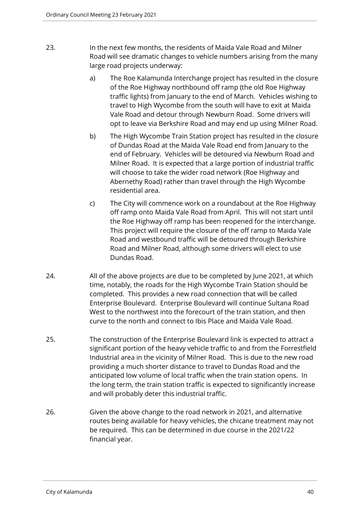- 23. In the next few months, the residents of Maida Vale Road and Milner Road will see dramatic changes to vehicle numbers arising from the many large road projects underway:
	- a) The Roe Kalamunda Interchange project has resulted in the closure of the Roe Highway northbound off ramp (the old Roe Highway traffic lights) from January to the end of March. Vehicles wishing to travel to High Wycombe from the south will have to exit at Maida Vale Road and detour through Newburn Road. Some drivers will opt to leave via Berkshire Road and may end up using Milner Road.
	- b) The High Wycombe Train Station project has resulted in the closure of Dundas Road at the Maida Vale Road end from January to the end of February. Vehicles will be detoured via Newburn Road and Milner Road. It is expected that a large portion of industrial traffic will choose to take the wider road network (Roe Highway and Abernethy Road) rather than travel through the High Wycombe residential area.
	- c) The City will commence work on a roundabout at the Roe Highway off ramp onto Maida Vale Road from April. This will not start until the Roe Highway off ramp has been reopened for the interchange. This project will require the closure of the off ramp to Maida Vale Road and westbound traffic will be detoured through Berkshire Road and Milner Road, although some drivers will elect to use Dundas Road.
- 24. All of the above projects are due to be completed by June 2021, at which time, notably, the roads for the High Wycombe Train Station should be completed. This provides a new road connection that will be called Enterprise Boulevard. Enterprise Boulevard will continue Sultana Road West to the northwest into the forecourt of the train station, and then curve to the north and connect to Ibis Place and Maida Vale Road.
- 25. The construction of the Enterprise Boulevard link is expected to attract a significant portion of the heavy vehicle traffic to and from the Forrestfield Industrial area in the vicinity of Milner Road. This is due to the new road providing a much shorter distance to travel to Dundas Road and the anticipated low volume of local traffic when the train station opens. In the long term, the train station traffic is expected to significantly increase and will probably deter this industrial traffic.
- 26. Given the above change to the road network in 2021, and alternative routes being available for heavy vehicles, the chicane treatment may not be required. This can be determined in due course in the 2021/22 financial year.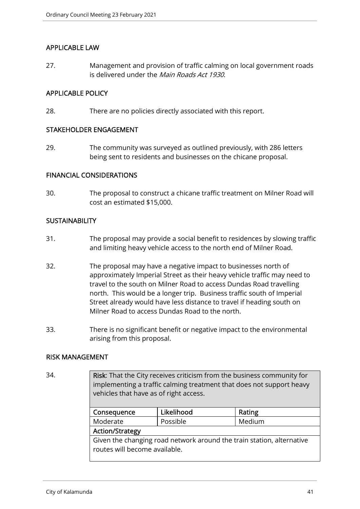## APPLICABLE LAW

27. Management and provision of traffic calming on local government roads is delivered under the *Main Roads Act 1930*.

# APPLICABLE POLICY

28. There are no policies directly associated with this report.

## STAKEHOLDER ENGAGEMENT

29. The community was surveyed as outlined previously, with 286 letters being sent to residents and businesses on the chicane proposal.

#### FINANCIAL CONSIDERATIONS

30. The proposal to construct a chicane traffic treatment on Milner Road will cost an estimated \$15,000.

## **SUSTAINABILITY**

- 31. The proposal may provide a social benefit to residences by slowing traffic and limiting heavy vehicle access to the north end of Milner Road.
- 32. The proposal may have a negative impact to businesses north of approximately Imperial Street as their heavy vehicle traffic may need to travel to the south on Milner Road to access Dundas Road travelling north. This would be a longer trip. Business traffic south of Imperial Street already would have less distance to travel if heading south on Milner Road to access Dundas Road to the north.
- 33. There is no significant benefit or negative impact to the environmental arising from this proposal.

## RISK MANAGEMENT

34. Risk: That the City receives criticism from the business community for implementing a traffic calming treatment that does not support heavy vehicles that have as of right access.

| Consequence                                                                                            | Likelihood | Rating |  |  |
|--------------------------------------------------------------------------------------------------------|------------|--------|--|--|
| Moderate                                                                                               | Possible   | Medium |  |  |
| <b>Action/Strategy</b>                                                                                 |            |        |  |  |
| Given the changing road network around the train station, alternative<br>routes will become available. |            |        |  |  |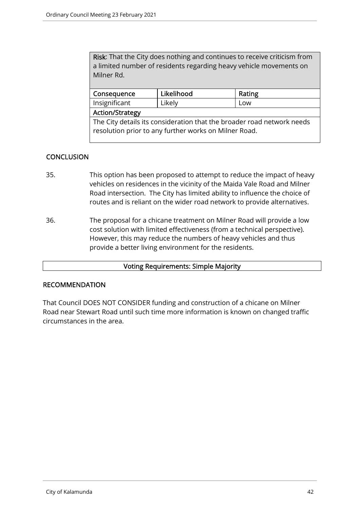Risk: That the City does nothing and continues to receive criticism from a limited number of residents regarding heavy vehicle movements on Milner Rd.

| Consequence                                                            | Likelihood | Rating |  |  |
|------------------------------------------------------------------------|------------|--------|--|--|
| Insignificant                                                          | Likely     | Low    |  |  |
| <b>Action/Strategy</b>                                                 |            |        |  |  |
| The City details its consideration that the broader road network needs |            |        |  |  |
| resolution prior to any further works on Milner Road.                  |            |        |  |  |

# **CONCLUSION**

- 35. This option has been proposed to attempt to reduce the impact of heavy vehicles on residences in the vicinity of the Maida Vale Road and Milner Road intersection. The City has limited ability to influence the choice of routes and is reliant on the wider road network to provide alternatives.
- 36. The proposal for a chicane treatment on Milner Road will provide a low cost solution with limited effectiveness (from a technical perspective). However, this may reduce the numbers of heavy vehicles and thus provide a better living environment for the residents.

## Voting Requirements: Simple Majority

## RECOMMENDATION

That Council DOES NOT CONSIDER funding and construction of a chicane on Milner Road near Stewart Road until such time more information is known on changed traffic circumstances in the area.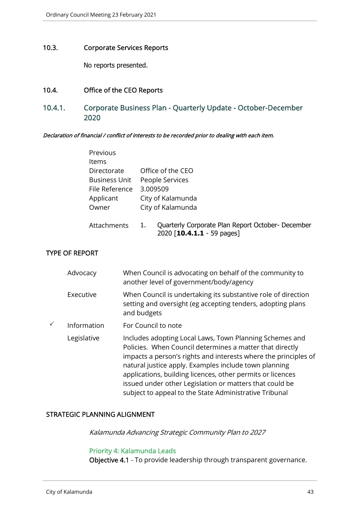# 10.3. Corporate Services Reports

No reports presented.

#### 10.4. Office of the CEO Reports

10.4.1. Corporate Business Plan - Quarterly Update - October-December 2020

Declaration of financial / conflict of interests to be recorded prior to dealing with each item.

| Previous             |    |                                                                                 |
|----------------------|----|---------------------------------------------------------------------------------|
| <b>Items</b>         |    |                                                                                 |
| Directorate          |    | Office of the CEO                                                               |
| <b>Business Unit</b> |    | People Services                                                                 |
| File Reference       |    | 3.009509                                                                        |
| Applicant            |    | City of Kalamunda                                                               |
| Owner                |    | City of Kalamunda                                                               |
| Attachments          | 1. | Quarterly Corporate Plan Report October- December<br>2020 [10.4.1.1 - 59 pages] |

## TYPE OF REPORT

| Advocacy    | When Council is advocating on behalf of the community to<br>another level of government/body/agency                                                                                                                                                                                                                                                                                                                                |
|-------------|------------------------------------------------------------------------------------------------------------------------------------------------------------------------------------------------------------------------------------------------------------------------------------------------------------------------------------------------------------------------------------------------------------------------------------|
| Executive   | When Council is undertaking its substantive role of direction<br>setting and oversight (eg accepting tenders, adopting plans<br>and budgets                                                                                                                                                                                                                                                                                        |
| Information | For Council to note                                                                                                                                                                                                                                                                                                                                                                                                                |
| Legislative | Includes adopting Local Laws, Town Planning Schemes and<br>Policies. When Council determines a matter that directly<br>impacts a person's rights and interests where the principles of<br>natural justice apply. Examples include town planning<br>applications, building licences, other permits or licences<br>issued under other Legislation or matters that could be<br>subject to appeal to the State Administrative Tribunal |

#### STRATEGIC PLANNING ALIGNMENT

Kalamunda Advancing Strategic Community Plan to 2027

# Priority 4: Kalamunda Leads

Objective 4.1 - To provide leadership through transparent governance.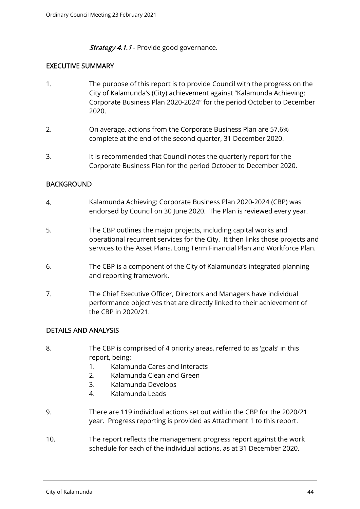## **Strategy 4.1.1** - Provide good governance.

# EXECUTIVE SUMMARY

- 1. The purpose of this report is to provide Council with the progress on the City of Kalamunda's (City) achievement against "Kalamunda Achieving: Corporate Business Plan 2020-2024" for the period October to December 2020.
- 2. On average, actions from the Corporate Business Plan are 57.6% complete at the end of the second quarter, 31 December 2020.
- 3. It is recommended that Council notes the quarterly report for the Corporate Business Plan for the period October to December 2020.

# BACKGROUND

- 4. Kalamunda Achieving: Corporate Business Plan 2020-2024 (CBP) was endorsed by Council on 30 June 2020. The Plan is reviewed every year.
- 5. The CBP outlines the major projects, including capital works and operational recurrent services for the City. It then links those projects and services to the Asset Plans, Long Term Financial Plan and Workforce Plan.
- 6. The CBP is a component of the City of Kalamunda's integrated planning and reporting framework.
- 7. The Chief Executive Officer, Directors and Managers have individual performance objectives that are directly linked to their achievement of the CBP in 2020/21.

## DETAILS AND ANALYSIS

- 8. The CBP is comprised of 4 priority areas, referred to as 'goals' in this report, being:
	- 1. Kalamunda Cares and Interacts
	- 2. Kalamunda Clean and Green
	- 3. Kalamunda Develops
	- 4. Kalamunda Leads
- 9. There are 119 individual actions set out within the CBP for the 2020/21 year. Progress reporting is provided as Attachment 1 to this report.
- 10. The report reflects the management progress report against the work schedule for each of the individual actions, as at 31 December 2020.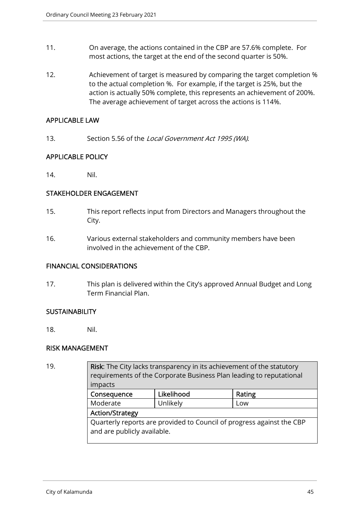- 11. On average, the actions contained in the CBP are 57.6% complete. For most actions, the target at the end of the second quarter is 50%.
- 12. Achievement of target is measured by comparing the target completion % to the actual completion %. For example, if the target is 25%, but the action is actually 50% complete, this represents an achievement of 200%. The average achievement of target across the actions is 114%.

#### APPLICABLE LAW

13. Section 5.56 of the Local Government Act 1995 (WA).

# APPLICABLE POLICY

14. Nil.

## STAKEHOLDER ENGAGEMENT

- 15. This report reflects input from Directors and Managers throughout the City.
- 16. Various external stakeholders and community members have been involved in the achievement of the CBP.

## FINANCIAL CONSIDERATIONS

17. This plan is delivered within the City's approved Annual Budget and Long Term Financial Plan.

## **SUSTAINABILITY**

18. Nil.

## RISK MANAGEMENT

| 19. | Risk: The City lacks transparency in its achievement of the statutory<br>requirements of the Corporate Business Plan leading to reputational<br>impacts<br>Likelihood<br>Consequence<br>Rating |          |     |  |
|-----|------------------------------------------------------------------------------------------------------------------------------------------------------------------------------------------------|----------|-----|--|
|     |                                                                                                                                                                                                |          |     |  |
|     | Moderate                                                                                                                                                                                       | Unlikely | Low |  |
|     | <b>Action/Strategy</b>                                                                                                                                                                         |          |     |  |
|     | Quarterly reports are provided to Council of progress against the CBP<br>and are publicly available.                                                                                           |          |     |  |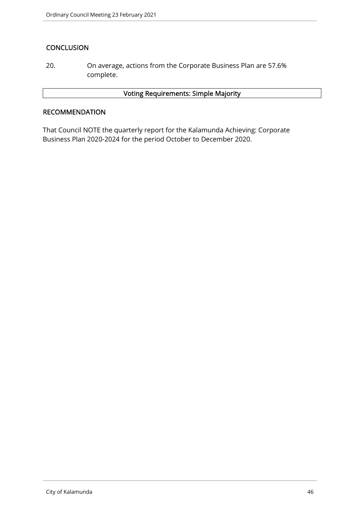# **CONCLUSION**

20. On average, actions from the Corporate Business Plan are 57.6% complete.

# Voting Requirements: Simple Majority

## **RECOMMENDATION**

That Council NOTE the quarterly report for the Kalamunda Achieving: Corporate Business Plan 2020-2024 for the period October to December 2020.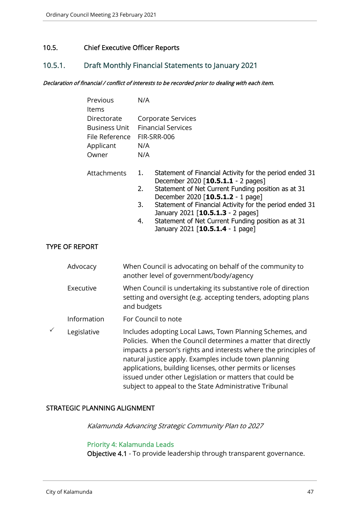## 10.5. Chief Executive Officer Reports

# 10.5.1. Draft Monthly Financial Statements to January 2021

#### Declaration of financial / conflict of interests to be recorded prior to dealing with each item.

| Previous              | N/A |                                                                                                     |
|-----------------------|-----|-----------------------------------------------------------------------------------------------------|
| <b>Items</b>          |     |                                                                                                     |
| Directorate           |     | Corporate Services                                                                                  |
| <b>Business Unit</b>  |     | <b>Financial Services</b>                                                                           |
| File Reference        |     | FIR-SRR-006                                                                                         |
| Applicant             | N/A |                                                                                                     |
| Owner                 | N/A |                                                                                                     |
| Attachments           | 1.  | Statement of Financial Activity for the period ended 31<br>December 2020 [10.5.1.1 - 2 pages]       |
|                       | 2.  | Statement of Net Current Funding position as at 31<br>December 2020 [10.5.1.2 - 1 page]             |
|                       | 3.  | Statement of Financial Activity for the period ended 31<br>January 2021 [10.5.1.3 - 2 pages]        |
|                       | 4.  | Statement of Net Current Funding position as at 31<br>January 2021 [10.5.1.4 - 1 page]              |
| <b>TYPE OF REPORT</b> |     |                                                                                                     |
| Advocacy              |     | When Council is advocating on behalf of the community to<br>another level of government/body/agency |

| Executive | When Council is undertaking its substantive role of direction |
|-----------|---------------------------------------------------------------|
|           | setting and oversight (e.g. accepting tenders, adopting plans |
|           | and budgets                                                   |

- Information For Council to note
- $\checkmark$  Legislative Includes adopting Local Laws, Town Planning Schemes, and Policies. When the Council determines a matter that directly impacts a person's rights and interests where the principles of natural justice apply. Examples include town planning applications, building licenses, other permits or licenses issued under other Legislation or matters that could be subject to appeal to the State Administrative Tribunal

## STRATEGIC PLANNING ALIGNMENT

Kalamunda Advancing Strategic Community Plan to 2027

#### Priority 4: Kalamunda Leads

Objective 4.1 - To provide leadership through transparent governance.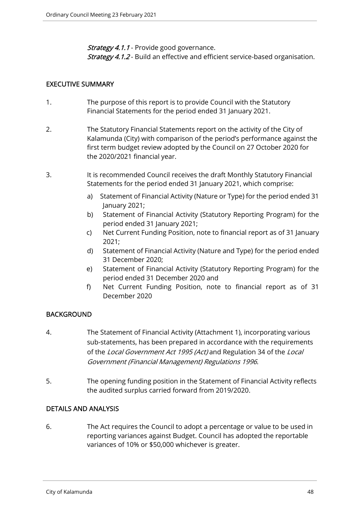**Strategy 4.1.1** - Provide good governance.

Strategy 4.1.2 - Build an effective and efficient service-based organisation.

# EXECUTIVE SUMMARY

- 1. The purpose of this report is to provide Council with the Statutory Financial Statements for the period ended 31 January 2021.
- 2. The Statutory Financial Statements report on the activity of the City of Kalamunda (City) with comparison of the period's performance against the first term budget review adopted by the Council on 27 October 2020 for the 2020/2021 financial year.
- 3. It is recommended Council receives the draft Monthly Statutory Financial Statements for the period ended 31 January 2021, which comprise:
	- a) Statement of Financial Activity (Nature or Type) for the period ended 31 January 2021;
	- b) Statement of Financial Activity (Statutory Reporting Program) for the period ended 31 January 2021;
	- c) Net Current Funding Position, note to financial report as of 31 January 2021;
	- d) Statement of Financial Activity (Nature and Type) for the period ended 31 December 2020;
	- e) Statement of Financial Activity (Statutory Reporting Program) for the period ended 31 December 2020 and
	- f) Net Current Funding Position, note to financial report as of 31 December 2020

# **BACKGROUND**

- 4. The Statement of Financial Activity (Attachment 1), incorporating various sub-statements, has been prepared in accordance with the requirements of the Local Government Act 1995 (Act) and Regulation 34 of the Local Government (Financial Management) Regulations 1996.
- 5. The opening funding position in the Statement of Financial Activity reflects the audited surplus carried forward from 2019/2020.

## DETAILS AND ANALYSIS

6. The Act requires the Council to adopt a percentage or value to be used in reporting variances against Budget. Council has adopted the reportable variances of 10% or \$50,000 whichever is greater.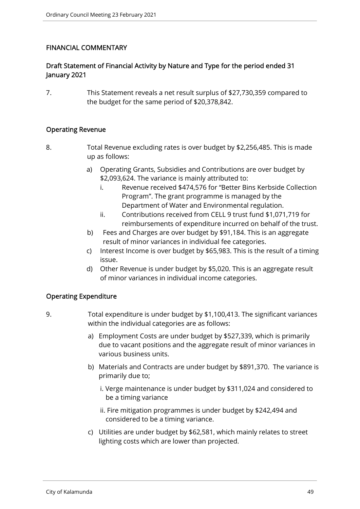# FINANCIAL COMMENTARY

# Draft Statement of Financial Activity by Nature and Type for the period ended 31 January 2021

7. This Statement reveals a net result surplus of \$27,730,359 compared to the budget for the same period of \$20,378,842.

## Operating Revenue

- 8. Total Revenue excluding rates is over budget by \$2,256,485. This is made up as follows:
	- a) Operating Grants, Subsidies and Contributions are over budget by \$2,093,624. The variance is mainly attributed to:
		- i. Revenue received \$474,576 for "Better Bins Kerbside Collection Program". The grant programme is managed by the Department of Water and Environmental regulation.
		- ii. Contributions received from CELL 9 trust fund \$1,071,719 for reimbursements of expenditure incurred on behalf of the trust.
	- b) Fees and Charges are over budget by \$91,184. This is an aggregate result of minor variances in individual fee categories.
	- c) Interest Income is over budget by \$65,983. This is the result of a timing issue.
	- d) Other Revenue is under budget by \$5,020. This is an aggregate result of minor variances in individual income categories.

## Operating Expenditure

- 9. Total expenditure is under budget by \$1,100,413. The significant variances within the individual categories are as follows:
	- a) Employment Costs are under budget by \$527,339, which is primarily due to vacant positions and the aggregate result of minor variances in various business units.
	- b) Materials and Contracts are under budget by \$891,370. The variance is primarily due to;
		- i. Verge maintenance is under budget by \$311,024 and considered to be a timing variance
		- ii. Fire mitigation programmes is under budget by \$242,494 and considered to be a timing variance.
	- c) Utilities are under budget by \$62,581, which mainly relates to street lighting costs which are lower than projected.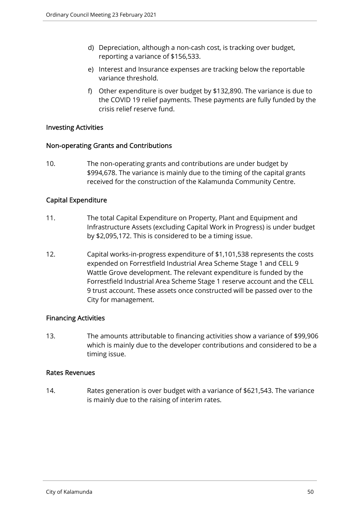- d) Depreciation, although a non-cash cost, is tracking over budget, reporting a variance of \$156,533.
- e) Interest and Insurance expenses are tracking below the reportable variance threshold.
- f) Other expenditure is over budget by \$132,890. The variance is due to the COVID 19 relief payments. These payments are fully funded by the crisis relief reserve fund.

## Investing Activities

## Non-operating Grants and Contributions

10. The non-operating grants and contributions are under budget by \$994,678. The variance is mainly due to the timing of the capital grants received for the construction of the Kalamunda Community Centre.

## Capital Expenditure

- 11. The total Capital Expenditure on Property, Plant and Equipment and Infrastructure Assets (excluding Capital Work in Progress) is under budget by \$2,095,172. This is considered to be a timing issue.
- 12. Capital works-in-progress expenditure of \$1,101,538 represents the costs expended on Forrestfield Industrial Area Scheme Stage 1 and CELL 9 Wattle Grove development. The relevant expenditure is funded by the Forrestfield Industrial Area Scheme Stage 1 reserve account and the CELL 9 trust account. These assets once constructed will be passed over to the City for management.

## Financing Activities

13. The amounts attributable to financing activities show a variance of \$99,906 which is mainly due to the developer contributions and considered to be a timing issue.

#### Rates Revenues

14. Rates generation is over budget with a variance of \$621,543. The variance is mainly due to the raising of interim rates.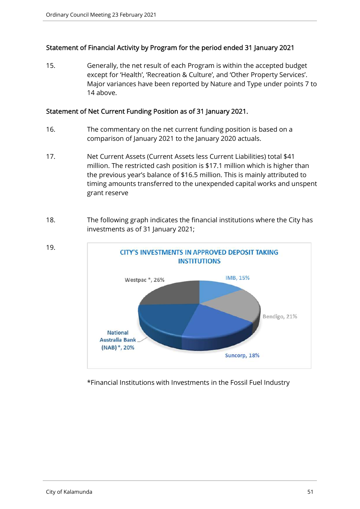## Statement of Financial Activity by Program for the period ended 31 January 2021

15. Generally, the net result of each Program is within the accepted budget except for 'Health', 'Recreation & Culture', and 'Other Property Services'. Major variances have been reported by Nature and Type under points 7 to 14 above.

#### Statement of Net Current Funding Position as of 31 January 2021.

- 16. The commentary on the net current funding position is based on a comparison of January 2021 to the January 2020 actuals.
- 17. Net Current Assets (Current Assets less Current Liabilities) total \$41 million. The restricted cash position is \$17.1 million which is higher than the previous year's balance of \$16.5 million. This is mainly attributed to timing amounts transferred to the unexpended capital works and unspent grant reserve
- 18. The following graph indicates the financial institutions where the City has investments as of 31 January 2021;



\*Financial Institutions with Investments in the Fossil Fuel Industry

19.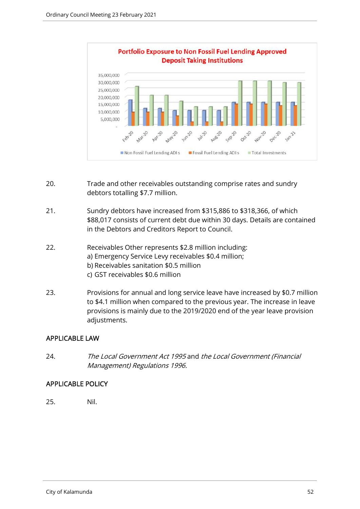

- 20. Trade and other receivables outstanding comprise rates and sundry debtors totalling \$7.7 million.
- 21. Sundry debtors have increased from \$315,886 to \$318,366, of which \$88,017 consists of current debt due within 30 days. Details are contained in the Debtors and Creditors Report to Council.
- 22. Receivables Other represents \$2.8 million including: a) Emergency Service Levy receivables \$0.4 million; b) Receivables sanitation \$0.5 million c) GST receivables \$0.6 million
- 23. Provisions for annual and long service leave have increased by \$0.7 million to \$4.1 million when compared to the previous year. The increase in leave provisions is mainly due to the 2019/2020 end of the year leave provision adjustments.

# APPLICABLE LAW

24. The Local Government Act 1995 and the Local Government (Financial Management) Regulations 1996.

## APPLICABLE POLICY

25. Nil.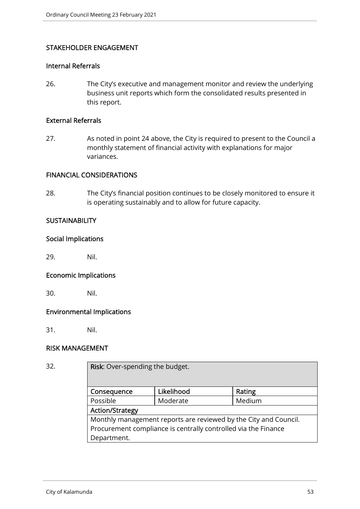## STAKEHOLDER ENGAGEMENT

## Internal Referrals

26. The City's executive and management monitor and review the underlying business unit reports which form the consolidated results presented in this report.

#### External Referrals

27. As noted in point 24 above, the City is required to present to the Council a monthly statement of financial activity with explanations for major variances.

#### FINANCIAL CONSIDERATIONS

28. The City's financial position continues to be closely monitored to ensure it is operating sustainably and to allow for future capacity.

#### **SUSTAINABILITY**

#### Social Implications

29. Nil.

#### Economic Implications

30. Nil.

## Environmental Implications

31. Nil.

## RISK MANAGEMENT

| ٠<br>۰.<br>۰.<br>., | ٠ | I<br>× |
|---------------------|---|--------|
|                     |   |        |

Risk: Over-spending the budget.

| Consequence                                                      | Likelihood | Rating |  |  |
|------------------------------------------------------------------|------------|--------|--|--|
| Possible                                                         | Moderate   | Medium |  |  |
| <b>Action/Strategy</b>                                           |            |        |  |  |
| Monthly management reports are reviewed by the City and Council. |            |        |  |  |
| Procurement compliance is centrally controlled via the Finance   |            |        |  |  |
| Department.                                                      |            |        |  |  |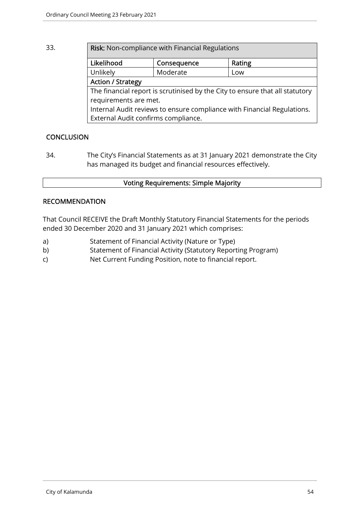| 33. | Risk: Non-compliance with Financial Regulations                              |             |        |  |  |
|-----|------------------------------------------------------------------------------|-------------|--------|--|--|
|     | Likelihood                                                                   | Consequence | Rating |  |  |
|     | Unlikely                                                                     | Moderate    | Low    |  |  |
|     | <b>Action / Strategy</b>                                                     |             |        |  |  |
|     | The financial report is scrutinised by the City to ensure that all statutory |             |        |  |  |
|     | requirements are met.                                                        |             |        |  |  |
|     | Internal Audit reviews to ensure compliance with Financial Regulations.      |             |        |  |  |
|     | External Audit confirms compliance.                                          |             |        |  |  |

# **CONCLUSION**

34. The City's Financial Statements as at 31 January 2021 demonstrate the City has managed its budget and financial resources effectively.

# Voting Requirements: Simple Majority

# RECOMMENDATION

That Council RECEIVE the Draft Monthly Statutory Financial Statements for the periods ended 30 December 2020 and 31 January 2021 which comprises:

- a) Statement of Financial Activity (Nature or Type)
- b) Statement of Financial Activity (Statutory Reporting Program)
- c) Net Current Funding Position, note to financial report.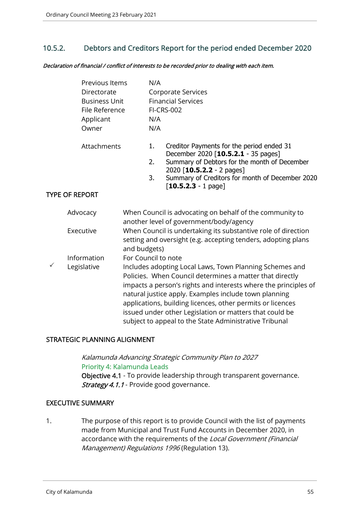# 10.5.2. Debtors and Creditors Report for the period ended December 2020

Declaration of financial / conflict of interests to be recorded prior to dealing with each item.

|   | Previous Items<br>Directorate<br><b>Business Unit</b><br>File Reference<br>Applicant<br>Owner |                                                                                                                                                                                                                                                                                                                                                                                                                                    | N/A<br>N/A<br>N/A | Corporate Services<br><b>Financial Services</b><br><b>FI-CRS-002</b>                                                           |
|---|-----------------------------------------------------------------------------------------------|------------------------------------------------------------------------------------------------------------------------------------------------------------------------------------------------------------------------------------------------------------------------------------------------------------------------------------------------------------------------------------------------------------------------------------|-------------------|--------------------------------------------------------------------------------------------------------------------------------|
|   | Attachments                                                                                   |                                                                                                                                                                                                                                                                                                                                                                                                                                    | 1.                | Creditor Payments for the period ended 31<br>December 2020 [10.5.2.1 - 35 pages]                                               |
|   |                                                                                               |                                                                                                                                                                                                                                                                                                                                                                                                                                    | 2.                | Summary of Debtors for the month of December                                                                                   |
|   |                                                                                               |                                                                                                                                                                                                                                                                                                                                                                                                                                    | 3.                | 2020 [10.5.2.2 - 2 pages]<br>Summary of Creditors for month of December 2020<br>$[10.5.2.3 - 1$ page]                          |
|   | <b>TYPE OF REPORT</b>                                                                         |                                                                                                                                                                                                                                                                                                                                                                                                                                    |                   |                                                                                                                                |
|   | Advocacy                                                                                      |                                                                                                                                                                                                                                                                                                                                                                                                                                    |                   | When Council is advocating on behalf of the community to<br>another level of government/body/agency                            |
|   | Executive                                                                                     | and budgets)                                                                                                                                                                                                                                                                                                                                                                                                                       |                   | When Council is undertaking its substantive role of direction<br>setting and oversight (e.g. accepting tenders, adopting plans |
|   | Information                                                                                   | For Council to note                                                                                                                                                                                                                                                                                                                                                                                                                |                   |                                                                                                                                |
| ✓ | Legislative                                                                                   | Includes adopting Local Laws, Town Planning Schemes and<br>Policies. When Council determines a matter that directly<br>impacts a person's rights and interests where the principles of<br>natural justice apply. Examples include town planning<br>applications, building licences, other permits or licences<br>issued under other Legislation or matters that could be<br>subject to appeal to the State Administrative Tribunal |                   |                                                                                                                                |

## STRATEGIC PLANNING ALIGNMENT

Kalamunda Advancing Strategic Community Plan to 2027 Priority 4: Kalamunda Leads Objective 4.1 - To provide leadership through transparent governance. Strategy 4.1.1 - Provide good governance.

## EXECUTIVE SUMMARY

1. The purpose of this report is to provide Council with the list of payments made from Municipal and Trust Fund Accounts in December 2020, in accordance with the requirements of the Local Government (Financial Management) Regulations 1996 (Regulation 13).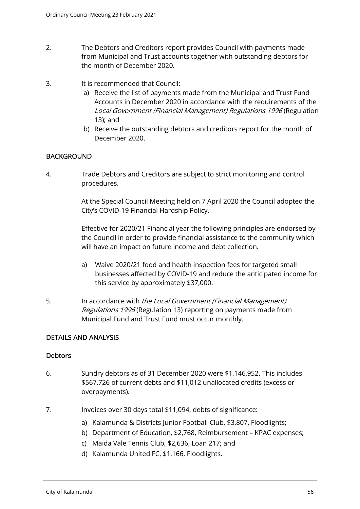- 2. The Debtors and Creditors report provides Council with payments made from Municipal and Trust accounts together with outstanding debtors for the month of December 2020.
- 3. It is recommended that Council:
	- a) Receive the list of payments made from the Municipal and Trust Fund Accounts in December 2020 in accordance with the requirements of the Local Government (Financial Management) Regulations 1996 (Regulation 13); and
	- b) Receive the outstanding debtors and creditors report for the month of December 2020.

## BACKGROUND

4. Trade Debtors and Creditors are subject to strict monitoring and control procedures.

> At the Special Council Meeting held on 7 April 2020 the Council adopted the City's COVID-19 Financial Hardship Policy.

> Effective for 2020/21 Financial year the following principles are endorsed by the Council in order to provide financial assistance to the community which will have an impact on future income and debt collection.

- a) Waive 2020/21 food and health inspection fees for targeted small businesses affected by COVID-19 and reduce the anticipated income for this service by approximately \$37,000.
- 5. In accordance with the Local Government (Financial Management) Regulations 1996 (Regulation 13) reporting on payments made from Municipal Fund and Trust Fund must occur monthly.

## DETAILS AND ANALYSIS

## **Debtors**

- 6. Sundry debtors as of 31 December 2020 were \$1,146,952. This includes \$567,726 of current debts and \$11,012 unallocated credits (excess or overpayments).
- 7. Invoices over 30 days total \$11,094, debts of significance:
	- a) Kalamunda & Districts Junior Football Club, \$3,807, Floodlights;
	- b) Department of Education, \$2,768, Reimbursement KPAC expenses;
	- c) Maida Vale Tennis Club, \$2,636, Loan 217; and
	- d) Kalamunda United FC, \$1,166, Floodlights.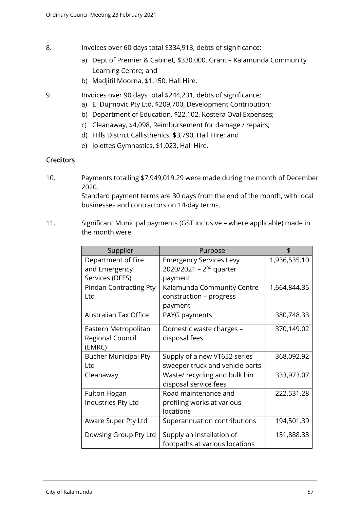- 8. Invoices over 60 days total \$334,913, debts of significance:
	- a) Dept of Premier & Cabinet, \$330,000, Grant Kalamunda Community Learning Centre; and
	- b) Madjitil Moorna, \$1,150, Hall Hire.
- 9. Invoices over 90 days total \$244,231, debts of significance:
	- a) EI Dujmovic Pty Ltd, \$209,700, Development Contribution;
	- b) Department of Education, \$22,102, Kostera Oval Expenses;
	- c) Cleanaway, \$4,098, Reimbursement for damage / repairs;
	- d) Hills District Callisthenics, \$3,790, Hall Hire; and
	- e) Jolettes Gymnastics, \$1,023, Hall Hire.

## **Creditors**

10. Payments totalling \$7,949,019.29 were made during the month of December 2020.

Standard payment terms are 30 days from the end of the month, with local businesses and contractors on 14-day terms.

11. Significant Municipal payments (GST inclusive – where applicable) made in the month were:

| Supplier                                                  | Purpose                                                                   |              |
|-----------------------------------------------------------|---------------------------------------------------------------------------|--------------|
| Department of Fire<br>and Emergency<br>Services (DFES)    | <b>Emergency Services Levy</b><br>2020/2021 - $2^{nd}$ quarter<br>payment | 1,936,535.10 |
| Pindan Contracting Pty<br>Ltd                             | Kalamunda Community Centre<br>construction - progress<br>payment          | 1,664,844.35 |
| <b>Australian Tax Office</b>                              | PAYG payments                                                             | 380,748.33   |
| Eastern Metropolitan<br><b>Regional Council</b><br>(EMRC) | Domestic waste charges -<br>disposal fees                                 | 370,149.02   |
| <b>Bucher Municipal Pty</b><br>Ltd                        | Supply of a new VT652 series<br>sweeper truck and vehicle parts           | 368,092.92   |
| Cleanaway                                                 | Waste/ recycling and bulk bin<br>disposal service fees                    | 333,973.07   |
| Fulton Hogan<br>Industries Pty Ltd                        | Road maintenance and<br>profiling works at various<br>locations           | 222,531.28   |
| Aware Super Pty Ltd                                       | Superannuation contributions                                              | 194,501.39   |
| Dowsing Group Pty Ltd                                     | Supply an installation of<br>footpaths at various locations               | 151,888.33   |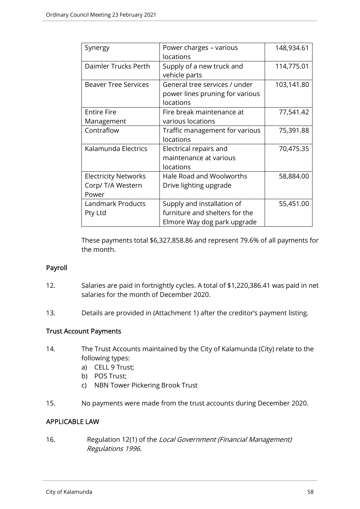| Synergy                                                   | Power charges - various<br>locations                                                        | 148,934.61 |
|-----------------------------------------------------------|---------------------------------------------------------------------------------------------|------------|
| Daimler Trucks Perth                                      | Supply of a new truck and<br>vehicle parts                                                  | 114,775.01 |
| <b>Beaver Tree Services</b>                               | General tree services / under<br>power lines pruning for various<br>locations               | 103,141.80 |
| <b>Entire Fire</b><br>Management                          | Fire break maintenance at<br>various locations                                              | 77,541.42  |
| Contraflow                                                | Traffic management for various<br>locations                                                 | 75,391.88  |
| Kalamunda Electrics                                       | Electrical repairs and<br>maintenance at various<br>locations                               | 70,475.35  |
| <b>Electricity Networks</b><br>Corp/ T/A Western<br>Power | Hale Road and Woolworths<br>Drive lighting upgrade                                          | 58,884.00  |
| Landmark Products<br>Pty Ltd                              | Supply and installation of<br>furniture and shelters for the<br>Elmore Way dog park upgrade | 55,451.00  |

These payments total \$6,327,858.86 and represent 79.6% of all payments for the month.

## Payroll

- 12. Salaries are paid in fortnightly cycles. A total of \$1,220,386.41 was paid in net salaries for the month of December 2020.
- 13. Details are provided in (Attachment 1) after the creditor's payment listing.

## Trust Account Payments

- 14. The Trust Accounts maintained by the City of Kalamunda (City) relate to the following types:
	- a) CELL 9 Trust;
	- b) POS Trust;
	- c) NBN Tower Pickering Brook Trust
- 15. No payments were made from the trust accounts during December 2020.

## APPLICABLE LAW

16. Regulation 12(1) of the Local Government (Financial Management) Regulations 1996.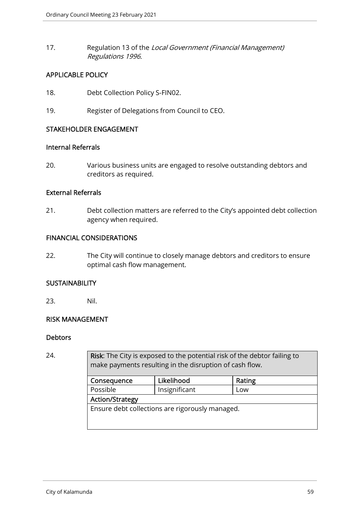17. Regulation 13 of the Local Government (Financial Management) Regulations 1996.

# APPLICABLE POLICY

- 18. Debt Collection Policy S-FIN02.
- 19. Register of Delegations from Council to CEO.

## STAKEHOLDER ENGAGEMENT

## Internal Referrals

20. Various business units are engaged to resolve outstanding debtors and creditors as required.

#### External Referrals

21. Debt collection matters are referred to the City's appointed debt collection agency when required.

#### FINANCIAL CONSIDERATIONS

22. The City will continue to closely manage debtors and creditors to ensure optimal cash flow management.

## **SUSTAINABILITY**

23. Nil.

## RISK MANAGEMENT

#### **Debtors**

24. **Risk:** The City is exposed to the potential risk of the debtor failing to make payments resulting in the disruption of cash flow.

| Consequence                                     | Likelihood | Rating |  |  |
|-------------------------------------------------|------------|--------|--|--|
| Possible<br>Insignificant                       |            | Low    |  |  |
| <b>Action/Strategy</b>                          |            |        |  |  |
| Ensure debt collections are rigorously managed. |            |        |  |  |
|                                                 |            |        |  |  |
|                                                 |            |        |  |  |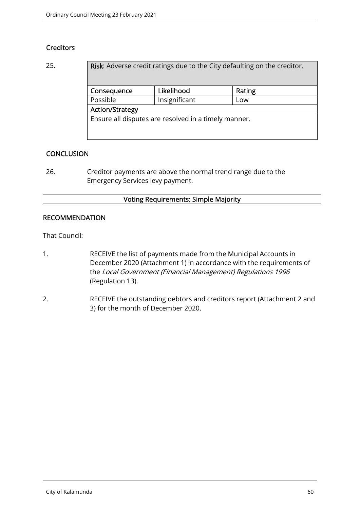# **Creditors**

| 25. | Risk: Adverse credit ratings due to the City defaulting on the creditor. |               |        |  |
|-----|--------------------------------------------------------------------------|---------------|--------|--|
|     | Consequence                                                              | Likelihood    | Rating |  |
|     | Possible                                                                 | Insignificant | Low    |  |
|     | <b>Action/Strategy</b>                                                   |               |        |  |
|     | Ensure all disputes are resolved in a timely manner.                     |               |        |  |
|     |                                                                          |               |        |  |
|     |                                                                          |               |        |  |

# **CONCLUSION**

26. Creditor payments are above the normal trend range due to the Emergency Services levy payment.

# Voting Requirements: Simple Majority

## RECOMMENDATION

That Council:

- 1. RECEIVE the list of payments made from the Municipal Accounts in December 2020 (Attachment 1) in accordance with the requirements of the Local Government (Financial Management) Regulations 1996 (Regulation 13).
- 2. RECEIVE the outstanding debtors and creditors report (Attachment 2 and 3) for the month of December 2020.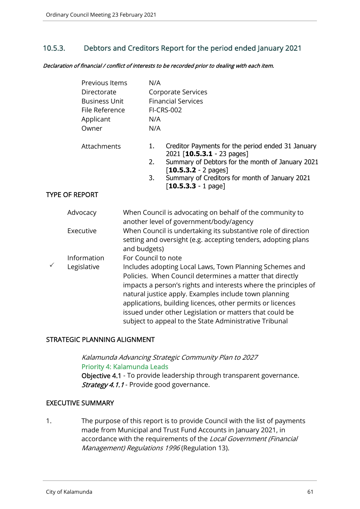# 10.5.3. Debtors and Creditors Report for the period ended January 2021

Declaration of financial / conflict of interests to be recorded prior to dealing with each item.

|   | Previous Items<br>Directorate<br><b>Business Unit</b><br>File Reference<br>Applicant<br>Owner |                                                                                                                                                                                                                                                                                                                                                                                                                                    | N/A<br>N/A<br>N/A | Corporate Services<br><b>Financial Services</b><br><b>FI-CRS-002</b>                                                           |
|---|-----------------------------------------------------------------------------------------------|------------------------------------------------------------------------------------------------------------------------------------------------------------------------------------------------------------------------------------------------------------------------------------------------------------------------------------------------------------------------------------------------------------------------------------|-------------------|--------------------------------------------------------------------------------------------------------------------------------|
|   | Attachments                                                                                   |                                                                                                                                                                                                                                                                                                                                                                                                                                    | 1.                | Creditor Payments for the period ended 31 January<br>2021 [10.5.3.1 - 23 pages]                                                |
|   |                                                                                               |                                                                                                                                                                                                                                                                                                                                                                                                                                    | 2.                | Summary of Debtors for the month of January 2021                                                                               |
|   |                                                                                               |                                                                                                                                                                                                                                                                                                                                                                                                                                    | 3.                | $[10.5.3.2 - 2$ pages]<br>Summary of Creditors for month of January 2021<br>$[10.5.3.3 - 1$ page]                              |
|   | <b>TYPE OF REPORT</b>                                                                         |                                                                                                                                                                                                                                                                                                                                                                                                                                    |                   |                                                                                                                                |
|   | Advocacy                                                                                      |                                                                                                                                                                                                                                                                                                                                                                                                                                    |                   | When Council is advocating on behalf of the community to<br>another level of government/body/agency                            |
|   | Executive                                                                                     | and budgets)                                                                                                                                                                                                                                                                                                                                                                                                                       |                   | When Council is undertaking its substantive role of direction<br>setting and oversight (e.g. accepting tenders, adopting plans |
|   | Information                                                                                   | For Council to note                                                                                                                                                                                                                                                                                                                                                                                                                |                   |                                                                                                                                |
| ✓ | Legislative                                                                                   | Includes adopting Local Laws, Town Planning Schemes and<br>Policies. When Council determines a matter that directly<br>impacts a person's rights and interests where the principles of<br>natural justice apply. Examples include town planning<br>applications, building licences, other permits or licences<br>issued under other Legislation or matters that could be<br>subject to appeal to the State Administrative Tribunal |                   |                                                                                                                                |

## STRATEGIC PLANNING ALIGNMENT

Kalamunda Advancing Strategic Community Plan to 2027 Priority 4: Kalamunda Leads Objective 4.1 - To provide leadership through transparent governance. Strategy 4.1.1 - Provide good governance.

## EXECUTIVE SUMMARY

1. The purpose of this report is to provide Council with the list of payments made from Municipal and Trust Fund Accounts in January 2021, in accordance with the requirements of the Local Government (Financial Management) Regulations 1996 (Regulation 13).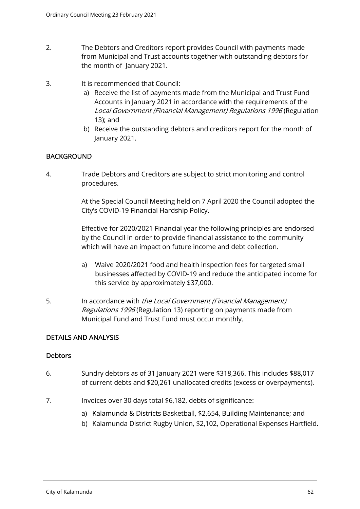- 2. The Debtors and Creditors report provides Council with payments made from Municipal and Trust accounts together with outstanding debtors for the month of January 2021.
- 3. It is recommended that Council:
	- a) Receive the list of payments made from the Municipal and Trust Fund Accounts in January 2021 in accordance with the requirements of the Local Government (Financial Management) Regulations 1996 (Regulation 13); and
	- b) Receive the outstanding debtors and creditors report for the month of January 2021.

## BACKGROUND

4. Trade Debtors and Creditors are subject to strict monitoring and control procedures.

> At the Special Council Meeting held on 7 April 2020 the Council adopted the City's COVID-19 Financial Hardship Policy.

> Effective for 2020/2021 Financial year the following principles are endorsed by the Council in order to provide financial assistance to the community which will have an impact on future income and debt collection.

- a) Waive 2020/2021 food and health inspection fees for targeted small businesses affected by COVID-19 and reduce the anticipated income for this service by approximately \$37,000.
- 5. In accordance with the Local Government (Financial Management) Regulations 1996 (Regulation 13) reporting on payments made from Municipal Fund and Trust Fund must occur monthly.

## DETAILS AND ANALYSIS

## **Debtors**

- 6. Sundry debtors as of 31 January 2021 were \$318,366. This includes \$88,017 of current debts and \$20,261 unallocated credits (excess or overpayments).
- 7. Invoices over 30 days total \$6,182, debts of significance:
	- a) Kalamunda & Districts Basketball, \$2,654, Building Maintenance; and
	- b) Kalamunda District Rugby Union, \$2,102, Operational Expenses Hartfield.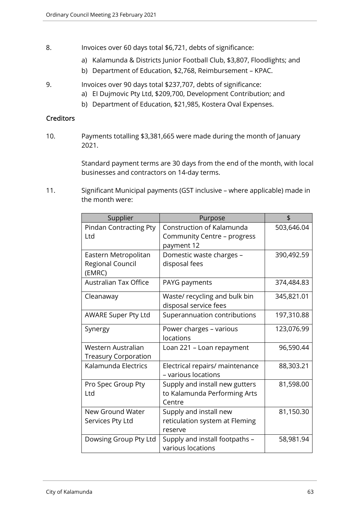- 8. Invoices over 60 days total \$6,721, debts of significance:
	- a) Kalamunda & Districts Junior Football Club, \$3,807, Floodlights; and
	- b) Department of Education, \$2,768, Reimbursement KPAC.
- 9. Invoices over 90 days total \$237,707, debts of significance:
	- a) EI Dujmovic Pty Ltd, \$209,700, Development Contribution; and
	- b) Department of Education, \$21,985, Kostera Oval Expenses.

#### **Creditors**

10. Payments totalling \$3,381,665 were made during the month of January 2021.

> Standard payment terms are 30 days from the end of the month, with local businesses and contractors on 14-day terms.

11. Significant Municipal payments (GST inclusive – where applicable) made in the month were:

| Supplier                                           | Purpose                                                                  | \$         |
|----------------------------------------------------|--------------------------------------------------------------------------|------------|
| <b>Pindan Contracting Pty</b><br>Ltd               | Construction of Kalamunda<br>Community Centre - progress<br>payment 12   | 503,646.04 |
| Eastern Metropolitan<br>Regional Council<br>(EMRC) | Domestic waste charges -<br>disposal fees                                | 390,492.59 |
| <b>Australian Tax Office</b>                       | PAYG payments                                                            | 374,484.83 |
| Cleanaway                                          | Waste/ recycling and bulk bin<br>disposal service fees                   | 345,821.01 |
| <b>AWARE Super Pty Ltd</b>                         | Superannuation contributions                                             | 197,310.88 |
| Synergy                                            | Power charges - various<br>locations                                     | 123,076.99 |
| Western Australian<br><b>Treasury Corporation</b>  | Loan 221 - Loan repayment                                                | 96,590.44  |
| Kalamunda Electrics                                | Electrical repairs/ maintenance<br>- various locations                   | 88,303.21  |
| Pro Spec Group Pty<br>Ltd                          | Supply and install new gutters<br>to Kalamunda Performing Arts<br>Centre | 81,598.00  |
| New Ground Water<br>Services Pty Ltd               | Supply and install new<br>reticulation system at Fleming<br>reserve      | 81,150.30  |
| Dowsing Group Pty Ltd                              | Supply and install footpaths -<br>various locations                      | 58,981.94  |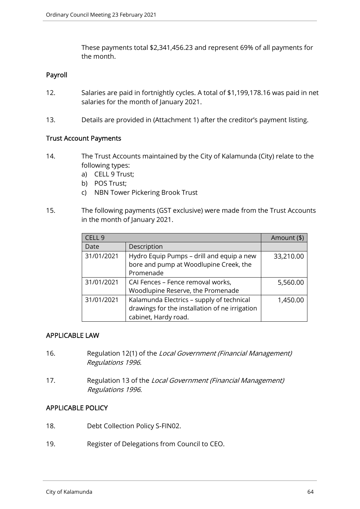These payments total \$2,341,456.23 and represent 69% of all payments for the month.

#### Payroll

- 12. Salaries are paid in fortnightly cycles. A total of \$1,199,178.16 was paid in net salaries for the month of January 2021.
- 13. Details are provided in (Attachment 1) after the creditor's payment listing.

#### Trust Account Payments

- 14. The Trust Accounts maintained by the City of Kalamunda (City) relate to the following types:
	- a) CELL 9 Trust;
	- b) POS Trust;
	- c) NBN Tower Pickering Brook Trust
- 15. The following payments (GST exclusive) were made from the Trust Accounts in the month of January 2021.

| CELL 9     |                                                | Amount (\$) |
|------------|------------------------------------------------|-------------|
| Date       | Description                                    |             |
| 31/01/2021 | Hydro Equip Pumps - drill and equip a new      | 33,210.00   |
|            | bore and pump at Woodlupine Creek, the         |             |
|            | Promenade                                      |             |
| 31/01/2021 | CAI Fences - Fence removal works,              | 5,560.00    |
|            | Woodlupine Reserve, the Promenade              |             |
| 31/01/2021 | Kalamunda Electrics - supply of technical      | 1,450.00    |
|            | drawings for the installation of ne irrigation |             |
|            | cabinet, Hardy road.                           |             |

#### APPLICABLE LAW

- 16. Regulation 12(1) of the Local Government (Financial Management) Regulations 1996.
- 17. Regulation 13 of the Local Government (Financial Management) Regulations 1996.

#### APPLICABLE POLICY

- 18. Debt Collection Policy S-FIN02.
- 19. Register of Delegations from Council to CEO.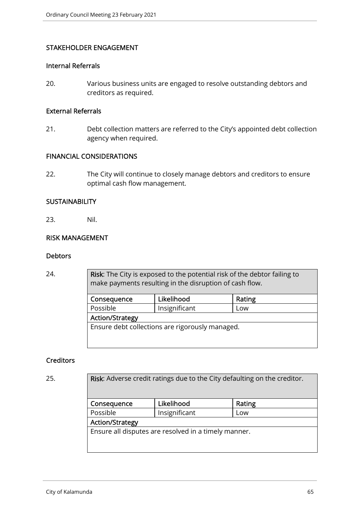## STAKEHOLDER ENGAGEMENT

#### Internal Referrals

20. Various business units are engaged to resolve outstanding debtors and creditors as required.

#### External Referrals

21. Debt collection matters are referred to the City's appointed debt collection agency when required.

#### FINANCIAL CONSIDERATIONS

22. The City will continue to closely manage debtors and creditors to ensure optimal cash flow management.

#### **SUSTAINABILITY**

23. Nil.

#### RISK MANAGEMENT

#### **Debtors**

24. **Risk:** The City is exposed to the potential risk of the debtor failing to make payments resulting in the disruption of cash flow.

| Consequence                                     | Likelihood    | Rating |  |  |
|-------------------------------------------------|---------------|--------|--|--|
| Possible                                        | Insignificant | Low    |  |  |
| <b>Action/Strategy</b>                          |               |        |  |  |
| Ensure debt collections are rigorously managed. |               |        |  |  |

#### **Creditors**

25. **Risk:** Adverse credit ratings due to the City defaulting on the creditor.

| Consequence                                          | Likelihood    | Rating |  |  |
|------------------------------------------------------|---------------|--------|--|--|
| Possible                                             | Insignificant | Low    |  |  |
| <b>Action/Strategy</b>                               |               |        |  |  |
| Ensure all disputes are resolved in a timely manner. |               |        |  |  |
|                                                      |               |        |  |  |
|                                                      |               |        |  |  |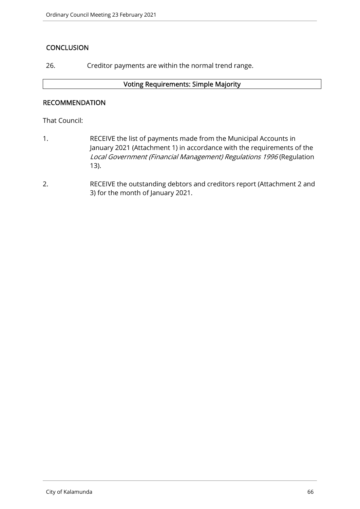# **CONCLUSION**

26. Creditor payments are within the normal trend range.

#### Voting Requirements: Simple Majority

## RECOMMENDATION

That Council:

- 1. RECEIVE the list of payments made from the Municipal Accounts in January 2021 (Attachment 1) in accordance with the requirements of the Local Government (Financial Management) Regulations 1996 (Regulation 13).
- 2. RECEIVE the outstanding debtors and creditors report (Attachment 2 and 3) for the month of January 2021.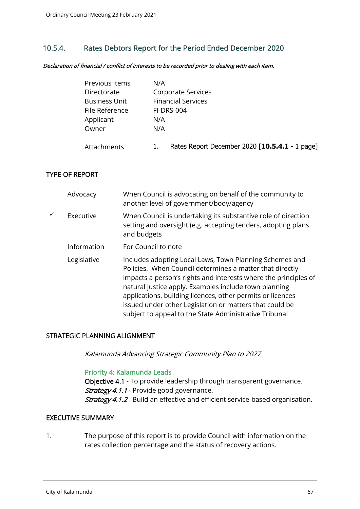# 10.5.4. Rates Debtors Report for the Period Ended December 2020

Declaration of financial / conflict of interests to be recorded prior to dealing with each item.

| Previous Items       | N/A                                            |
|----------------------|------------------------------------------------|
| Directorate          | Corporate Services                             |
| <b>Business Unit</b> | <b>Financial Services</b>                      |
| File Reference       | <b>FI-DRS-004</b>                              |
| Applicant            | N/A                                            |
| Owner                | N/A                                            |
| Attachments          | Rates Report December 2020 [10.5.4.1 - 1 page] |

#### TYPE OF REPORT

| Advocacy    | When Council is advocating on behalf of the community to<br>another level of government/body/agency                                                                                                                                                                                                                                                                                                                                |
|-------------|------------------------------------------------------------------------------------------------------------------------------------------------------------------------------------------------------------------------------------------------------------------------------------------------------------------------------------------------------------------------------------------------------------------------------------|
| Executive   | When Council is undertaking its substantive role of direction<br>setting and oversight (e.g. accepting tenders, adopting plans<br>and budgets                                                                                                                                                                                                                                                                                      |
| Information | For Council to note                                                                                                                                                                                                                                                                                                                                                                                                                |
| Legislative | Includes adopting Local Laws, Town Planning Schemes and<br>Policies. When Council determines a matter that directly<br>impacts a person's rights and interests where the principles of<br>natural justice apply. Examples include town planning<br>applications, building licences, other permits or licences<br>issued under other Legislation or matters that could be<br>subject to appeal to the State Administrative Tribunal |

#### STRATEGIC PLANNING ALIGNMENT

Kalamunda Advancing Strategic Community Plan to 2027

#### Priority 4: Kalamunda Leads

Objective 4.1 - To provide leadership through transparent governance. Strategy 4.1.1 - Provide good governance. Strategy 4.1.2 - Build an effective and efficient service-based organisation.

#### EXECUTIVE SUMMARY

1. The purpose of this report is to provide Council with information on the rates collection percentage and the status of recovery actions.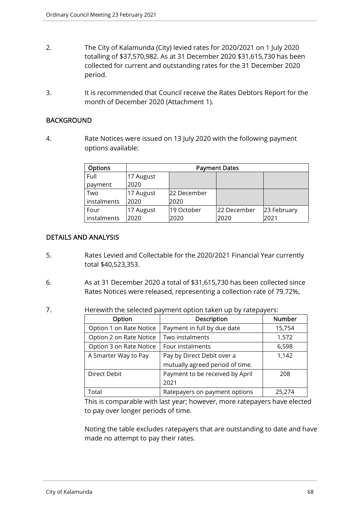- 2. The City of Kalamunda (City) levied rates for 2020/2021 on 1 July 2020 totalling of \$37,570,982. As at 31 December 2020 \$31,615,730 has been collected for current and outstanding rates for the 31 December 2020 period.
- 3. It is recommended that Council receive the Rates Debtors Report for the month of December 2020 (Attachment 1).

#### BACKGROUND

4. Rate Notices were issued on 13 July 2020 with the following payment options available:

| <b>Options</b> | <b>Payment Dates</b> |             |             |             |
|----------------|----------------------|-------------|-------------|-------------|
| Full           | 17 August            |             |             |             |
| payment        | 2020                 |             |             |             |
| Two            | 17 August            | 22 December |             |             |
| instalments    | 2020                 | 2020        |             |             |
| Four           | 17 August            | 19 October  | 22 December | 23 February |
| instalments    | 2020                 | 2020        | 2020        | 2021        |

## DETAILS AND ANALYSIS

- 5. Rates Levied and Collectable for the 2020/2021 Financial Year currently total \$40,523,353.
- 6. As at 31 December 2020 a total of \$31,615,730 has been collected since Rates Notices were released, representing a collection rate of 79.72%.
- 7. Herewith the selected payment option taken up by ratepayers:

| Option                  | Description                     | <b>Number</b> |
|-------------------------|---------------------------------|---------------|
| Option 1 on Rate Notice | Payment in full by due date     | 15,754        |
| Option 2 on Rate Notice | Two instalments                 | 1,572         |
| Option 3 on Rate Notice | Four instalments                | 6,598         |
| A Smarter Way to Pay    | Pay by Direct Debit over a      |               |
|                         | mutually agreed period of time. |               |
| Direct Debit            | Payment to be received by April | 208           |
|                         | 2021                            |               |
| Total                   | Ratepayers on payment options   | 25.274        |

This is comparable with last year; however, more ratepayers have elected to pay over longer periods of time.

Noting the table excludes ratepayers that are outstanding to date and have made no attempt to pay their rates.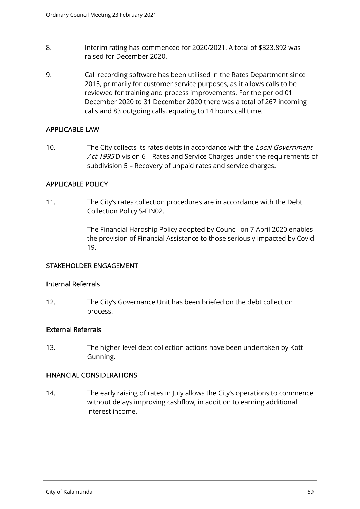- 8. Interim rating has commenced for 2020/2021. A total of \$323,892 was raised for December 2020.
- 9. Call recording software has been utilised in the Rates Department since 2015, primarily for customer service purposes, as it allows calls to be reviewed for training and process improvements. For the period 01 December 2020 to 31 December 2020 there was a total of 267 incoming calls and 83 outgoing calls, equating to 14 hours call time.

## APPLICABLE LAW

10. The City collects its rates debts in accordance with the Local Government Act 1995 Division 6 - Rates and Service Charges under the requirements of subdivision 5 – Recovery of unpaid rates and service charges.

## APPLICABLE POLICY

11. The City's rates collection procedures are in accordance with the Debt Collection Policy S-FIN02.

> The Financial Hardship Policy adopted by Council on 7 April 2020 enables the provision of Financial Assistance to those seriously impacted by Covid-19.

## STAKEHOLDER ENGAGEMENT

#### Internal Referrals

12. The City's Governance Unit has been briefed on the debt collection process.

#### External Referrals

13. The higher-level debt collection actions have been undertaken by Kott Gunning.

#### FINANCIAL CONSIDERATIONS

14. The early raising of rates in July allows the City's operations to commence without delays improving cashflow, in addition to earning additional interest income.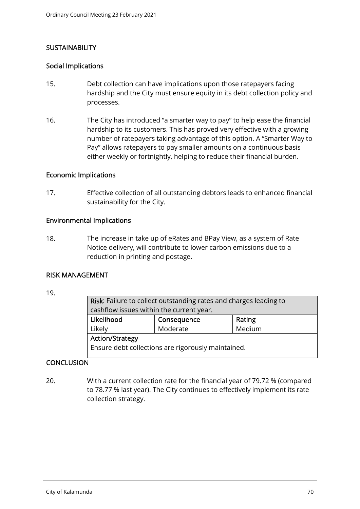# **SUSTAINABILITY**

#### Social Implications

- 15. Debt collection can have implications upon those ratepayers facing hardship and the City must ensure equity in its debt collection policy and processes.
- 16. The City has introduced "a smarter way to pay" to help ease the financial hardship to its customers. This has proved very effective with a growing number of ratepayers taking advantage of this option. A "Smarter Way to Pay" allows ratepayers to pay smaller amounts on a continuous basis either weekly or fortnightly, helping to reduce their financial burden.

#### Economic Implications

17. Effective collection of all outstanding debtors leads to enhanced financial sustainability for the City.

#### Environmental Implications

18. The increase in take up of eRates and BPay View, as a system of Rate Notice delivery, will contribute to lower carbon emissions due to a reduction in printing and postage.

## RISK MANAGEMENT

| 19. |  |  |
|-----|--|--|
|     |  |  |

| Risk: Failure to collect outstanding rates and charges leading to |                                          |        |  |
|-------------------------------------------------------------------|------------------------------------------|--------|--|
|                                                                   | cashflow issues within the current year. |        |  |
| Likelihood                                                        | Consequence                              | Rating |  |
| Likely                                                            | Moderate                                 | Medium |  |
| <b>Action/Strategy</b>                                            |                                          |        |  |
| Ensure debt collections are rigorously maintained.                |                                          |        |  |

# **CONCLUSION**

20. With a current collection rate for the financial year of 79.72 % (compared to 78.77 % last year). The City continues to effectively implement its rate collection strategy.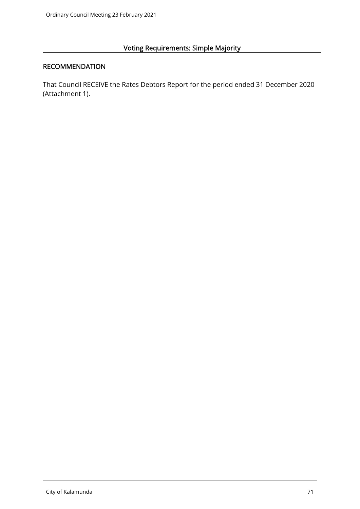# Voting Requirements: Simple Majority

## RECOMMENDATION

That Council RECEIVE the Rates Debtors Report for the period ended 31 December 2020 (Attachment 1).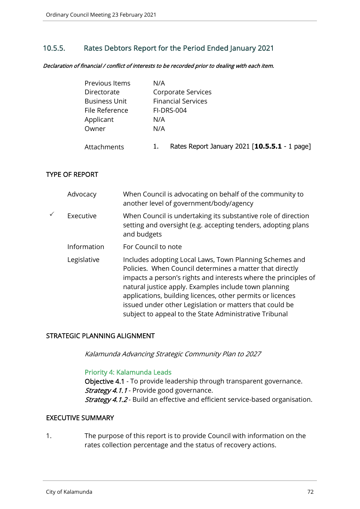# 10.5.5. Rates Debtors Report for the Period Ended January 2021

Declaration of financial / conflict of interests to be recorded prior to dealing with each item.

| Previous Items       | N/A                                           |
|----------------------|-----------------------------------------------|
| Directorate          | Corporate Services                            |
| <b>Business Unit</b> | <b>Financial Services</b>                     |
| File Reference       | <b>FI-DRS-004</b>                             |
| Applicant            | N/A                                           |
| Owner                | N/A                                           |
| Attachments          | Rates Report January 2021 [10.5.5.1 - 1 page] |

## TYPE OF REPORT

| Advocacy    | When Council is advocating on behalf of the community to<br>another level of government/body/agency                                                                                                                                                                                                                                                                                                                                |
|-------------|------------------------------------------------------------------------------------------------------------------------------------------------------------------------------------------------------------------------------------------------------------------------------------------------------------------------------------------------------------------------------------------------------------------------------------|
| Executive   | When Council is undertaking its substantive role of direction<br>setting and oversight (e.g. accepting tenders, adopting plans<br>and budgets                                                                                                                                                                                                                                                                                      |
| Information | For Council to note                                                                                                                                                                                                                                                                                                                                                                                                                |
| Legislative | Includes adopting Local Laws, Town Planning Schemes and<br>Policies. When Council determines a matter that directly<br>impacts a person's rights and interests where the principles of<br>natural justice apply. Examples include town planning<br>applications, building licences, other permits or licences<br>issued under other Legislation or matters that could be<br>subject to appeal to the State Administrative Tribunal |

#### STRATEGIC PLANNING ALIGNMENT

Kalamunda Advancing Strategic Community Plan to 2027

#### Priority 4: Kalamunda Leads

Objective 4.1 - To provide leadership through transparent governance. Strategy 4.1.1 - Provide good governance. Strategy 4.1.2 - Build an effective and efficient service-based organisation.

#### EXECUTIVE SUMMARY

1. The purpose of this report is to provide Council with information on the rates collection percentage and the status of recovery actions.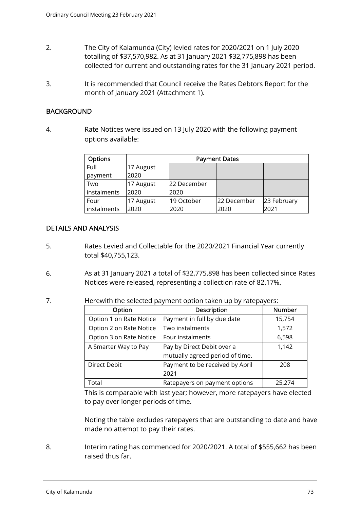- 2. The City of Kalamunda (City) levied rates for 2020/2021 on 1 July 2020 totalling of \$37,570,982. As at 31 January 2021 \$32,775,898 has been collected for current and outstanding rates for the 31 January 2021 period.
- 3. It is recommended that Council receive the Rates Debtors Report for the month of January 2021 (Attachment 1).

#### **BACKGROUND**

4. Rate Notices were issued on 13 July 2020 with the following payment options available:

| <b>Options</b> | <b>Payment Dates</b> |             |             |             |
|----------------|----------------------|-------------|-------------|-------------|
| Full           | 17 August            |             |             |             |
| payment        | 2020                 |             |             |             |
| Two            | 17 August            | 22 December |             |             |
| instalments    | 2020                 | 2020        |             |             |
| Four           | 17 August            | 19 October  | 22 December | 23 February |
| instalments    | 2020                 | 2020        | 2020        | 2021        |

## DETAILS AND ANALYSIS

- 5. Rates Levied and Collectable for the 2020/2021 Financial Year currently total \$40,755,123.
- 6. As at 31 January 2021 a total of \$32,775,898 has been collected since Rates Notices were released, representing a collection rate of 82.17%.
- 7. Herewith the selected payment option taken up by ratepayers:

| Option                  | Description                     | Number |
|-------------------------|---------------------------------|--------|
| Option 1 on Rate Notice | Payment in full by due date     | 15,754 |
| Option 2 on Rate Notice | Two instalments                 | 1,572  |
| Option 3 on Rate Notice | Four instalments                | 6,598  |
| A Smarter Way to Pay    | Pay by Direct Debit over a      | 1,142  |
|                         | mutually agreed period of time. |        |
| <b>Direct Debit</b>     | Payment to be received by April | 208    |
|                         | 2021                            |        |
| Total                   | Ratepayers on payment options   | 25.274 |

This is comparable with last year; however, more ratepayers have elected to pay over longer periods of time.

Noting the table excludes ratepayers that are outstanding to date and have made no attempt to pay their rates.

8. Interim rating has commenced for 2020/2021. A total of \$555,662 has been raised thus far.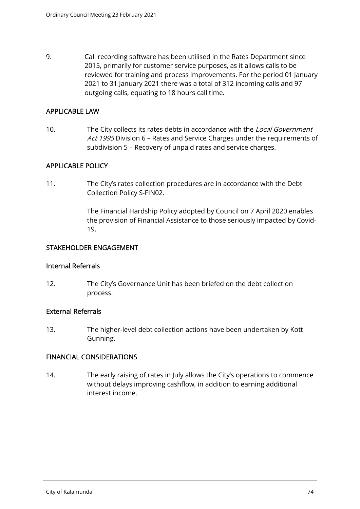9. Call recording software has been utilised in the Rates Department since 2015, primarily for customer service purposes, as it allows calls to be reviewed for training and process improvements. For the period 01 January 2021 to 31 January 2021 there was a total of 312 incoming calls and 97 outgoing calls, equating to 18 hours call time.

#### APPLICABLE LAW

10. The City collects its rates debts in accordance with the Local Government Act 1995 Division 6 - Rates and Service Charges under the requirements of subdivision 5 – Recovery of unpaid rates and service charges.

## APPLICABLE POLICY

11. The City's rates collection procedures are in accordance with the Debt Collection Policy S-FIN02.

> The Financial Hardship Policy adopted by Council on 7 April 2020 enables the provision of Financial Assistance to those seriously impacted by Covid-19.

#### STAKEHOLDER ENGAGEMENT

#### Internal Referrals

12. The City's Governance Unit has been briefed on the debt collection process.

## External Referrals

13. The higher-level debt collection actions have been undertaken by Kott Gunning.

## FINANCIAL CONSIDERATIONS

14. The early raising of rates in July allows the City's operations to commence without delays improving cashflow, in addition to earning additional interest income.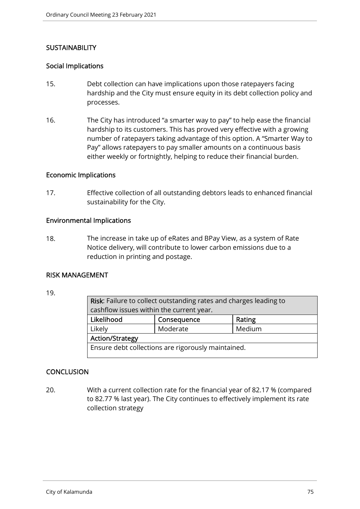## **SUSTAINABILITY**

#### Social Implications

- 15. Debt collection can have implications upon those ratepayers facing hardship and the City must ensure equity in its debt collection policy and processes.
- 16. The City has introduced "a smarter way to pay" to help ease the financial hardship to its customers. This has proved very effective with a growing number of ratepayers taking advantage of this option. A "Smarter Way to Pay" allows ratepayers to pay smaller amounts on a continuous basis either weekly or fortnightly, helping to reduce their financial burden.

#### Economic Implications

17. Effective collection of all outstanding debtors leads to enhanced financial sustainability for the City.

#### Environmental Implications

18. The increase in take up of eRates and BPay View, as a system of Rate Notice delivery, will contribute to lower carbon emissions due to a reduction in printing and postage.

## RISK MANAGEMENT

| 19. |  |  |
|-----|--|--|
|     |  |  |

| Risk: Failure to collect outstanding rates and charges leading to |        |  |  |
|-------------------------------------------------------------------|--------|--|--|
| cashflow issues within the current year.                          |        |  |  |
| Consequence                                                       | Rating |  |  |
| Moderate                                                          | Medium |  |  |
| <b>Action/Strategy</b>                                            |        |  |  |
| Ensure debt collections are rigorously maintained.                |        |  |  |
|                                                                   |        |  |  |

## **CONCLUSION**

20. With a current collection rate for the financial year of 82.17 % (compared to 82.77 % last year). The City continues to effectively implement its rate collection strategy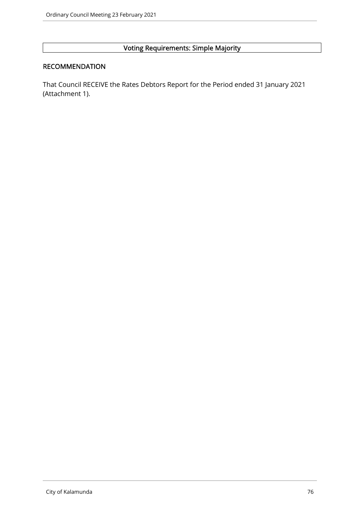# Voting Requirements: Simple Majority

## RECOMMENDATION

That Council RECEIVE the Rates Debtors Report for the Period ended 31 January 2021 (Attachment 1).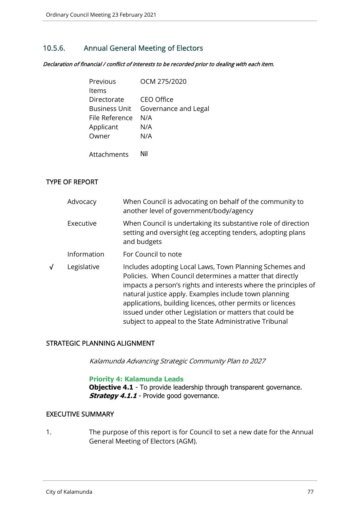# 10.5.6. Annual General Meeting of Electors

Declaration of financial / conflict of interests to be recorded prior to dealing with each item.

| Previous       | OCM 275/2020         |
|----------------|----------------------|
| Items          |                      |
| Directorate    | CEO Office           |
| Business Unit  | Governance and Legal |
| File Reference | N/A                  |
| Applicant      | N/A                  |
| Owner          | N/A                  |
|                |                      |
| Attachments    | Nil                  |

## TYPE OF REPORT

| Advocacy    | When Council is advocating on behalf of the community to<br>another level of government/body/agency                                                                                                                                                                                                                                                                                                                                |
|-------------|------------------------------------------------------------------------------------------------------------------------------------------------------------------------------------------------------------------------------------------------------------------------------------------------------------------------------------------------------------------------------------------------------------------------------------|
| Executive   | When Council is undertaking its substantive role of direction<br>setting and oversight (eg accepting tenders, adopting plans<br>and budgets                                                                                                                                                                                                                                                                                        |
| Information | For Council to note                                                                                                                                                                                                                                                                                                                                                                                                                |
| Legislative | Includes adopting Local Laws, Town Planning Schemes and<br>Policies. When Council determines a matter that directly<br>impacts a person's rights and interests where the principles of<br>natural justice apply. Examples include town planning<br>applications, building licences, other permits or licences<br>issued under other Legislation or matters that could be<br>subject to appeal to the State Administrative Tribunal |

## STRATEGIC PLANNING ALIGNMENT

Kalamunda Advancing Strategic Community Plan to 2027

#### **Priority 4: Kalamunda Leads**

**Objective 4.1** - To provide leadership through transparent governance. **Strategy 4.1.1** - Provide good governance.

#### EXECUTIVE SUMMARY

1. The purpose of this report is for Council to set a new date for the Annual General Meeting of Electors (AGM).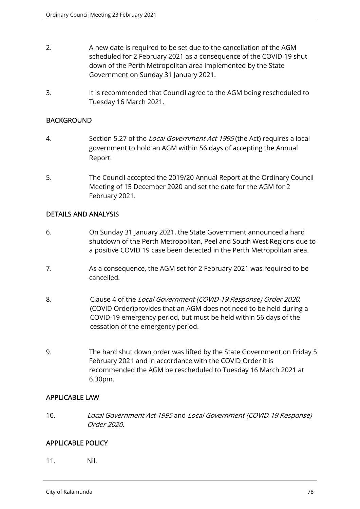- 2. A new date is required to be set due to the cancellation of the AGM scheduled for 2 February 2021 as a consequence of the COVID-19 shut down of the Perth Metropolitan area implemented by the State Government on Sunday 31 January 2021.
- 3. It is recommended that Council agree to the AGM being rescheduled to Tuesday 16 March 2021.

#### **BACKGROUND**

- 4. Section 5.27 of the Local Government Act 1995 (the Act) requires a local government to hold an AGM within 56 days of accepting the Annual Report.
- 5. The Council accepted the 2019/20 Annual Report at the Ordinary Council Meeting of 15 December 2020 and set the date for the AGM for 2 February 2021.

#### DETAILS AND ANALYSIS

- 6. On Sunday 31 January 2021, the State Government announced a hard shutdown of the Perth Metropolitan, Peel and South West Regions due to a positive COVID 19 case been detected in the Perth Metropolitan area.
- 7. As a consequence, the AGM set for 2 February 2021 was required to be cancelled.
- 8. Clause 4 of the Local Government (COVID-19 Response) Order 2020, (COVID Order)provides that an AGM does not need to be held during a COVID-19 emergency period, but must be held within 56 days of the cessation of the emergency period.
- 9. The hard shut down order was lifted by the State Government on Friday 5 February 2021 and in accordance with the COVID Order it is recommended the AGM be rescheduled to Tuesday 16 March 2021 at 6.30pm.

## APPLICABLE LAW

10. Local Government Act 1995 and Local Government (COVID-19 Response) Order 2020.

## APPLICABLE POLICY

11. Nil.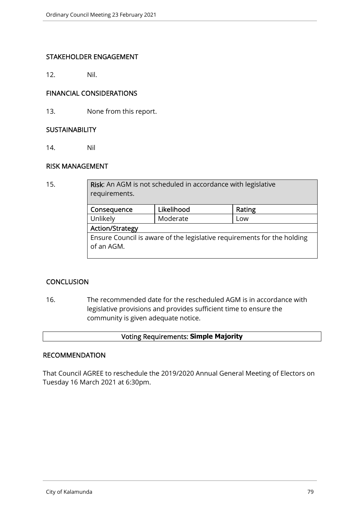## STAKEHOLDER ENGAGEMENT

12. Nil.

## FINANCIAL CONSIDERATIONS

13. None from this report.

#### **SUSTAINABILITY**

14. Nil

## RISK MANAGEMENT

15. **Risk:** An AGM is not scheduled in accordance with legislative requirements.

| Consequence                                                             | Likelihood | Rating |  |
|-------------------------------------------------------------------------|------------|--------|--|
| Unlikely                                                                | Moderate   | Low    |  |
| <b>Action/Strategy</b>                                                  |            |        |  |
| Ensure Council is aware of the legislative requirements for the holding |            |        |  |
| of an AGM.                                                              |            |        |  |
|                                                                         |            |        |  |

## **CONCLUSION**

16. The recommended date for the rescheduled AGM is in accordance with legislative provisions and provides sufficient time to ensure the community is given adequate notice.

# Voting Requirements: **Simple Majority**

#### RECOMMENDATION

That Council AGREE to reschedule the 2019/2020 Annual General Meeting of Electors on Tuesday 16 March 2021 at 6:30pm.